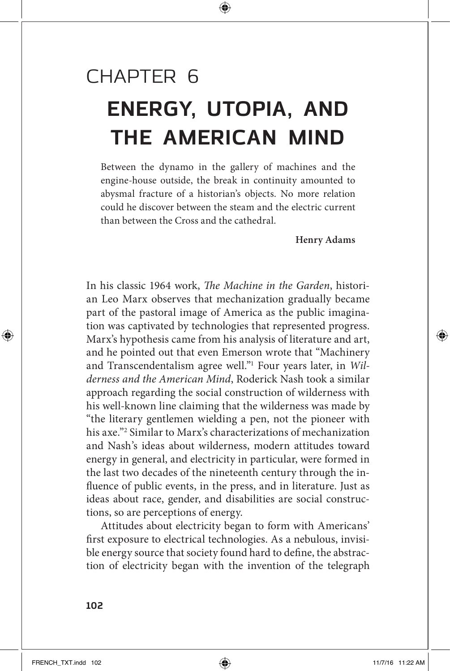# CHAPTER 6 **ENERGY, UTOPIA, AND THE AMERICAN MIND**

⊕

Between the dynamo in the gallery of machines and the engine-house outside, the break in continuity amounted to abysmal fracture of a historian's objects. No more relation could he discover between the steam and the electric current than between the Cross and the cathedral.

**Henry Adams**

In his classic 1964 work, *The Machine in the Garden*, historian Leo Marx observes that mechanization gradually became part of the pastoral image of America as the public imagination was captivated by technologies that represented progress. Marx's hypothesis came from his analysis of literature and art, and he pointed out that even Emerson wrote that "Machinery and Transcendentalism agree well."1 Four years later, in *Wilderness and the American Mind*, Roderick Nash took a similar approach regarding the social construction of wilderness with his well-known line claiming that the wilderness was made by "the literary gentlemen wielding a pen, not the pioneer with his axe."2 Similar to Marx's characterizations of mechanization and Nash's ideas about wilderness, modern attitudes toward energy in general, and electricity in particular, were formed in the last two decades of the nineteenth century through the influence of public events, in the press, and in literature. Just as ideas about race, gender, and disabilities are social constructions, so are perceptions of energy.

Attitudes about electricity began to form with Americans' first exposure to electrical technologies. As a nebulous, invisible energy source that society found hard to define, the abstraction of electricity began with the invention of the telegraph

♠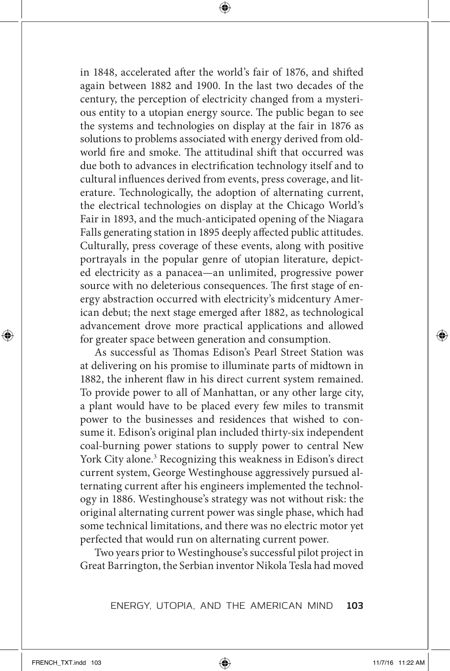in 1848, accelerated after the world's fair of 1876, and shifted again between 1882 and 1900. In the last two decades of the century, the perception of electricity changed from a mysterious entity to a utopian energy source. The public began to see the systems and technologies on display at the fair in 1876 as solutions to problems associated with energy derived from oldworld fire and smoke. The attitudinal shift that occurred was due both to advances in electrification technology itself and to cultural influences derived from events, press coverage, and literature. Technologically, the adoption of alternating current, the electrical technologies on display at the Chicago World's Fair in 1893, and the much-anticipated opening of the Niagara Falls generating station in 1895 deeply affected public attitudes. Culturally, press coverage of these events, along with positive portrayals in the popular genre of utopian literature, depicted electricity as a panacea—an unlimited, progressive power source with no deleterious consequences. The first stage of energy abstraction occurred with electricity's midcentury American debut; the next stage emerged after 1882, as technological advancement drove more practical applications and allowed for greater space between generation and consumption.

⊕

As successful as Thomas Edison's Pearl Street Station was at delivering on his promise to illuminate parts of midtown in 1882, the inherent flaw in his direct current system remained. To provide power to all of Manhattan, or any other large city, a plant would have to be placed every few miles to transmit power to the businesses and residences that wished to consume it. Edison's original plan included thirty-six independent coal-burning power stations to supply power to central New York City alone.<sup>3</sup> Recognizing this weakness in Edison's direct current system, George Westinghouse aggressively pursued alternating current after his engineers implemented the technology in 1886. Westinghouse's strategy was not without risk: the original alternating current power was single phase, which had some technical limitations, and there was no electric motor yet perfected that would run on alternating current power.

Two years prior to Westinghouse's successful pilot project in Great Barrington, the Serbian inventor Nikola Tesla had moved

ENERGY, UTOPIA, AND THE AMERICAN MIND **103**

♠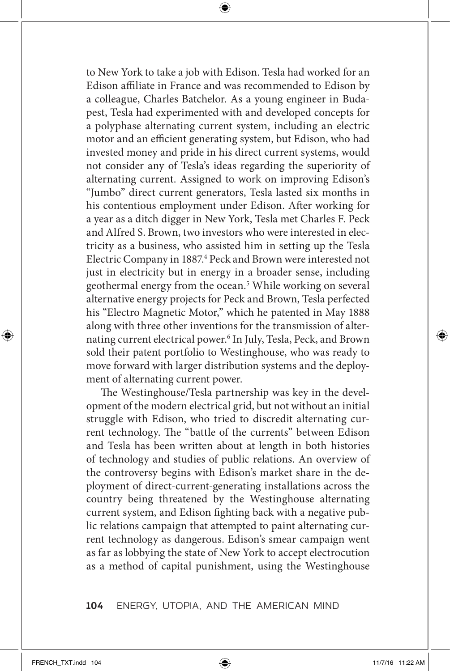to New York to take a job with Edison. Tesla had worked for an Edison affiliate in France and was recommended to Edison by a colleague, Charles Batchelor. As a young engineer in Budapest, Tesla had experimented with and developed concepts for a polyphase alternating current system, including an electric motor and an efficient generating system, but Edison, who had invested money and pride in his direct current systems, would not consider any of Tesla's ideas regarding the superiority of alternating current. Assigned to work on improving Edison's "Jumbo" direct current generators, Tesla lasted six months in his contentious employment under Edison. After working for a year as a ditch digger in New York, Tesla met Charles F. Peck and Alfred S. Brown, two investors who were interested in electricity as a business, who assisted him in setting up the Tesla Electric Company in 1887.<sup>4</sup> Peck and Brown were interested not just in electricity but in energy in a broader sense, including geothermal energy from the ocean.5 While working on several alternative energy projects for Peck and Brown, Tesla perfected his "Electro Magnetic Motor," which he patented in May 1888 along with three other inventions for the transmission of alternating current electrical power.6 In July, Tesla, Peck, and Brown sold their patent portfolio to Westinghouse, who was ready to move forward with larger distribution systems and the deployment of alternating current power.

⊕

The Westinghouse/Tesla partnership was key in the development of the modern electrical grid, but not without an initial struggle with Edison, who tried to discredit alternating current technology. The "battle of the currents" between Edison and Tesla has been written about at length in both histories of technology and studies of public relations. An overview of the controversy begins with Edison's market share in the deployment of direct-current-generating installations across the country being threatened by the Westinghouse alternating current system, and Edison fighting back with a negative public relations campaign that attempted to paint alternating current technology as dangerous. Edison's smear campaign went as far as lobbying the state of New York to accept electrocution as a method of capital punishment, using the Westinghouse

**104** ENERGY, UTOPIA, AND THE AMERICAN MIND

♠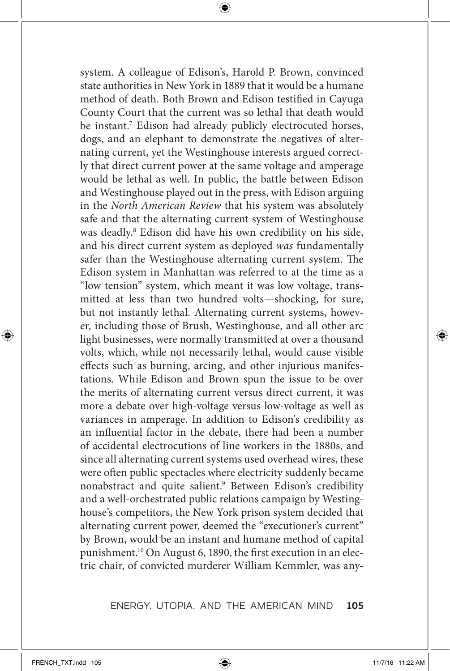system. A colleague of Edison's, Harold P. Brown, convinced state authorities in New York in 1889 that it would be a humane method of death. Both Brown and Edison testified in Cayuga County Court that the current was so lethal that death would be instant.<sup>7</sup> Edison had already publicly electrocuted horses, dogs, and an elephant to demonstrate the negatives of alternating current, yet the Westinghouse interests argued correctly that direct current power at the same voltage and amperage would be lethal as well. In public, the battle between Edison and Westinghouse played out in the press, with Edison arguing in the *North American Review* that his system was absolutely safe and that the alternating current system of Westinghouse was deadly.8 Edison did have his own credibility on his side, and his direct current system as deployed *was* fundamentally safer than the Westinghouse alternating current system. The Edison system in Manhattan was referred to at the time as a "low tension" system, which meant it was low voltage, transmitted at less than two hundred volts—shocking, for sure, but not instantly lethal. Alternating current systems, however, including those of Brush, Westinghouse, and all other arc light businesses, were normally transmitted at over a thousand volts, which, while not necessarily lethal, would cause visible effects such as burning, arcing, and other injurious manifestations. While Edison and Brown spun the issue to be over the merits of alternating current versus direct current, it was more a debate over high-voltage versus low-voltage as well as variances in amperage. In addition to Edison's credibility as an influential factor in the debate, there had been a number of accidental electrocutions of line workers in the 1880s, and since all alternating current systems used overhead wires, these were often public spectacles where electricity suddenly became nonabstract and quite salient.<sup>9</sup> Between Edison's credibility and a well-orchestrated public relations campaign by Westinghouse's competitors, the New York prison system decided that alternating current power, deemed the "executioner's current" by Brown, would be an instant and humane method of capital punishment.10 On August 6, 1890, the first execution in an electric chair, of convicted murderer William Kemmler, was any-

⊕

#### ENERGY, UTOPIA, AND THE AMERICAN MIND **105**

♠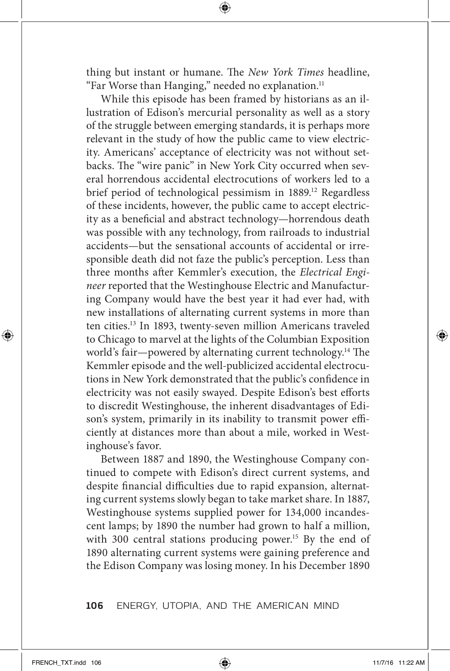thing but instant or humane. The *New York Times* headline, "Far Worse than Hanging," needed no explanation.<sup>11</sup>

⊕

While this episode has been framed by historians as an illustration of Edison's mercurial personality as well as a story of the struggle between emerging standards, it is perhaps more relevant in the study of how the public came to view electricity. Americans' acceptance of electricity was not without setbacks. The "wire panic" in New York City occurred when several horrendous accidental electrocutions of workers led to a brief period of technological pessimism in 1889.12 Regardless of these incidents, however, the public came to accept electricity as a beneficial and abstract technology—horrendous death was possible with any technology, from railroads to industrial accidents—but the sensational accounts of accidental or irresponsible death did not faze the public's perception. Less than three months after Kemmler's execution, the *Electrical Engineer* reported that the Westinghouse Electric and Manufacturing Company would have the best year it had ever had, with new installations of alternating current systems in more than ten cities.13 In 1893, twenty-seven million Americans traveled to Chicago to marvel at the lights of the Columbian Exposition world's fair—powered by alternating current technology.14 The Kemmler episode and the well-publicized accidental electrocutions in New York demonstrated that the public's confidence in electricity was not easily swayed. Despite Edison's best efforts to discredit Westinghouse, the inherent disadvantages of Edison's system, primarily in its inability to transmit power efficiently at distances more than about a mile, worked in Westinghouse's favor.

Between 1887 and 1890, the Westinghouse Company continued to compete with Edison's direct current systems, and despite financial difficulties due to rapid expansion, alternating current systems slowly began to take market share. In 1887, Westinghouse systems supplied power for 134,000 incandescent lamps; by 1890 the number had grown to half a million, with 300 central stations producing power.<sup>15</sup> By the end of 1890 alternating current systems were gaining preference and the Edison Company was losing money. In his December 1890

**106** ENERGY, UTOPIA, AND THE AMERICAN MIND

♠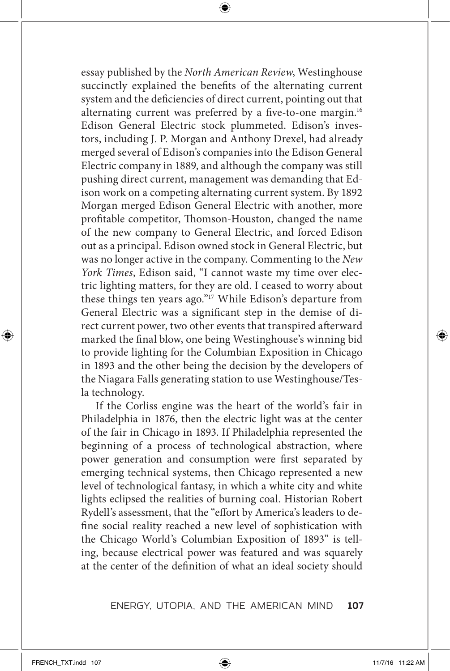essay published by the *North American Review*, Westinghouse succinctly explained the benefits of the alternating current system and the deficiencies of direct current, pointing out that alternating current was preferred by a five-to-one margin.<sup>16</sup> Edison General Electric stock plummeted. Edison's investors, including J. P. Morgan and Anthony Drexel, had already merged several of Edison's companies into the Edison General Electric company in 1889, and although the company was still pushing direct current, management was demanding that Edison work on a competing alternating current system. By 1892 Morgan merged Edison General Electric with another, more profitable competitor, Thomson-Houston, changed the name of the new company to General Electric, and forced Edison out as a principal. Edison owned stock in General Electric, but was no longer active in the company. Commenting to the *New York Times*, Edison said, "I cannot waste my time over electric lighting matters, for they are old. I ceased to worry about these things ten years ago."17 While Edison's departure from General Electric was a significant step in the demise of direct current power, two other events that transpired afterward marked the final blow, one being Westinghouse's winning bid to provide lighting for the Columbian Exposition in Chicago in 1893 and the other being the decision by the developers of the Niagara Falls generating station to use Westinghouse/Tesla technology.

 $\bigoplus$ 

If the Corliss engine was the heart of the world's fair in Philadelphia in 1876, then the electric light was at the center of the fair in Chicago in 1893. If Philadelphia represented the beginning of a process of technological abstraction, where power generation and consumption were first separated by emerging technical systems, then Chicago represented a new level of technological fantasy, in which a white city and white lights eclipsed the realities of burning coal. Historian Robert Rydell's assessment, that the "effort by America's leaders to define social reality reached a new level of sophistication with the Chicago World's Columbian Exposition of 1893" is telling, because electrical power was featured and was squarely at the center of the definition of what an ideal society should

#### ENERGY, UTOPIA, AND THE AMERICAN MIND **107**

⊕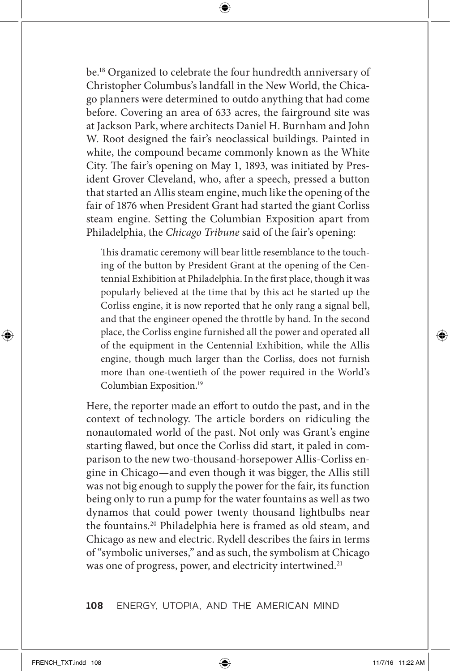be.18 Organized to celebrate the four hundredth anniversary of Christopher Columbus's landfall in the New World, the Chicago planners were determined to outdo anything that had come before. Covering an area of 633 acres, the fairground site was at Jackson Park, where architects Daniel H. Burnham and John W. Root designed the fair's neoclassical buildings. Painted in white, the compound became commonly known as the White City. The fair's opening on May 1, 1893, was initiated by President Grover Cleveland, who, after a speech, pressed a button that started an Allis steam engine, much like the opening of the fair of 1876 when President Grant had started the giant Corliss steam engine. Setting the Columbian Exposition apart from Philadelphia, the *Chicago Tribune* said of the fair's opening:

⊕

This dramatic ceremony will bear little resemblance to the touching of the button by President Grant at the opening of the Centennial Exhibition at Philadelphia. In the first place, though it was popularly believed at the time that by this act he started up the Corliss engine, it is now reported that he only rang a signal bell, and that the engineer opened the throttle by hand. In the second place, the Corliss engine furnished all the power and operated all of the equipment in the Centennial Exhibition, while the Allis engine, though much larger than the Corliss, does not furnish more than one-twentieth of the power required in the World's Columbian Exposition.19

Here, the reporter made an effort to outdo the past, and in the context of technology. The article borders on ridiculing the nonautomated world of the past. Not only was Grant's engine starting flawed, but once the Corliss did start, it paled in comparison to the new two-thousand-horsepower Allis-Corliss engine in Chicago—and even though it was bigger, the Allis still was not big enough to supply the power for the fair, its function being only to run a pump for the water fountains as well as two dynamos that could power twenty thousand lightbulbs near the fountains.20 Philadelphia here is framed as old steam, and Chicago as new and electric. Rydell describes the fairs in terms of "symbolic universes," and as such, the symbolism at Chicago was one of progress, power, and electricity intertwined.<sup>21</sup>

**108** ENERGY, UTOPIA, AND THE AMERICAN MIND

⊕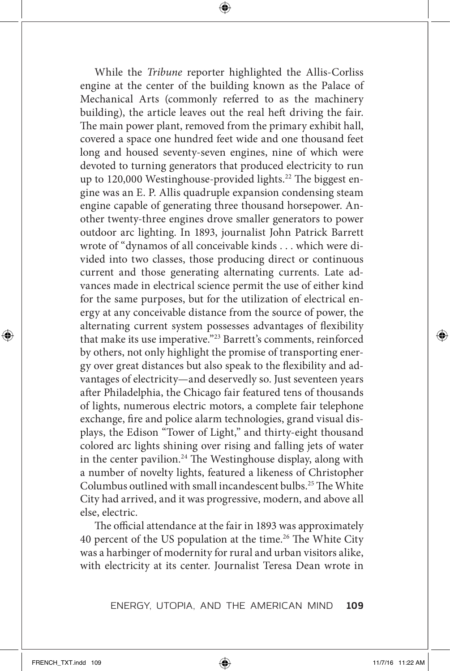While the *Tribune* reporter highlighted the Allis-Corliss engine at the center of the building known as the Palace of Mechanical Arts (commonly referred to as the machinery building), the article leaves out the real heft driving the fair. The main power plant, removed from the primary exhibit hall, covered a space one hundred feet wide and one thousand feet long and housed seventy-seven engines, nine of which were devoted to turning generators that produced electricity to run up to  $120,000$  Westinghouse-provided lights.<sup>22</sup> The biggest engine was an E. P. Allis quadruple expansion condensing steam engine capable of generating three thousand horsepower. Another twenty-three engines drove smaller generators to power outdoor arc lighting. In 1893, journalist John Patrick Barrett wrote of "dynamos of all conceivable kinds . . . which were divided into two classes, those producing direct or continuous current and those generating alternating currents. Late advances made in electrical science permit the use of either kind for the same purposes, but for the utilization of electrical energy at any conceivable distance from the source of power, the alternating current system possesses advantages of flexibility that make its use imperative."23 Barrett's comments, reinforced by others, not only highlight the promise of transporting energy over great distances but also speak to the flexibility and advantages of electricity—and deservedly so. Just seventeen years after Philadelphia, the Chicago fair featured tens of thousands of lights, numerous electric motors, a complete fair telephone exchange, fire and police alarm technologies, grand visual displays, the Edison "Tower of Light," and thirty-eight thousand colored arc lights shining over rising and falling jets of water in the center pavilion.<sup>24</sup> The Westinghouse display, along with a number of novelty lights, featured a likeness of Christopher Columbus outlined with small incandescent bulbs.25 The White City had arrived, and it was progressive, modern, and above all else, electric.

⊕

The official attendance at the fair in 1893 was approximately 40 percent of the US population at the time.<sup>26</sup> The White City was a harbinger of modernity for rural and urban visitors alike, with electricity at its center. Journalist Teresa Dean wrote in

ENERGY, UTOPIA, AND THE AMERICAN MIND **109**

♠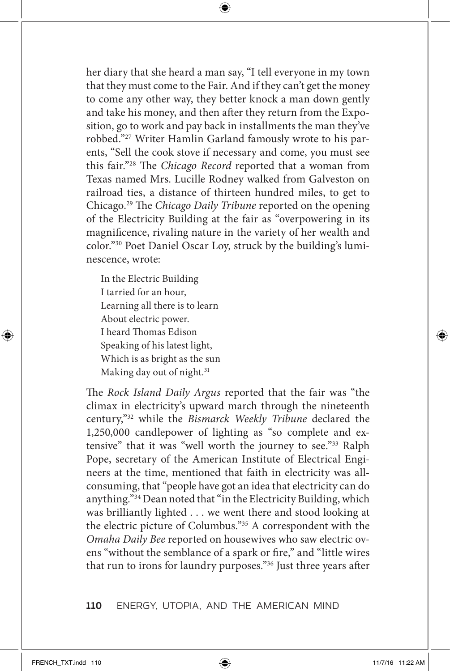her diary that she heard a man say, "I tell everyone in my town that they must come to the Fair. And if they can't get the money to come any other way, they better knock a man down gently and take his money, and then after they return from the Exposition, go to work and pay back in installments the man they've robbed."27 Writer Hamlin Garland famously wrote to his parents, "Sell the cook stove if necessary and come, you must see this fair."28 The *Chicago Record* reported that a woman from Texas named Mrs. Lucille Rodney walked from Galveston on railroad ties, a distance of thirteen hundred miles, to get to Chicago.29 The *Chicago Daily Tribune* reported on the opening of the Electricity Building at the fair as "overpowering in its magnificence, rivaling nature in the variety of her wealth and color."30 Poet Daniel Oscar Loy, struck by the building's luminescence, wrote:

⊕

In the Electric Building I tarried for an hour, Learning all there is to learn About electric power. I heard Thomas Edison Speaking of his latest light, Which is as bright as the sun Making day out of night.<sup>31</sup>

The *Rock Island Daily Argus* reported that the fair was "the climax in electricity's upward march through the nineteenth century,"32 while the *Bismarck Weekly Tribune* declared the 1,250,000 candlepower of lighting as "so complete and extensive" that it was "well worth the journey to see."33 Ralph Pope, secretary of the American Institute of Electrical Engineers at the time, mentioned that faith in electricity was allconsuming, that "people have got an idea that electricity can do anything."34 Dean noted that "in the Electricity Building, which was brilliantly lighted . . . we went there and stood looking at the electric picture of Columbus."35 A correspondent with the *Omaha Daily Bee* reported on housewives who saw electric ovens "without the semblance of a spark or fire," and "little wires that run to irons for laundry purposes."36 Just three years after

**110** ENERGY, UTOPIA, AND THE AMERICAN MIND

♠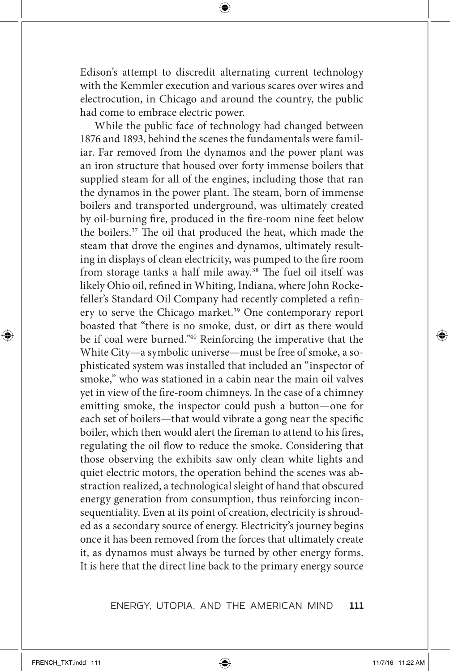Edison's attempt to discredit alternating current technology with the Kemmler execution and various scares over wires and electrocution, in Chicago and around the country, the public had come to embrace electric power.

⊕

While the public face of technology had changed between 1876 and 1893, behind the scenes the fundamentals were familiar. Far removed from the dynamos and the power plant was an iron structure that housed over forty immense boilers that supplied steam for all of the engines, including those that ran the dynamos in the power plant. The steam, born of immense boilers and transported underground, was ultimately created by oil-burning fire, produced in the fire-room nine feet below the boilers.37 The oil that produced the heat, which made the steam that drove the engines and dynamos, ultimately resulting in displays of clean electricity, was pumped to the fire room from storage tanks a half mile away.<sup>38</sup> The fuel oil itself was likely Ohio oil, refined in Whiting, Indiana, where John Rockefeller's Standard Oil Company had recently completed a refinery to serve the Chicago market.<sup>39</sup> One contemporary report boasted that "there is no smoke, dust, or dirt as there would be if coal were burned."<sup>40</sup> Reinforcing the imperative that the White City—a symbolic universe—must be free of smoke, a sophisticated system was installed that included an "inspector of smoke," who was stationed in a cabin near the main oil valves yet in view of the fire-room chimneys. In the case of a chimney emitting smoke, the inspector could push a button—one for each set of boilers—that would vibrate a gong near the specific boiler, which then would alert the fireman to attend to his fires, regulating the oil flow to reduce the smoke. Considering that those observing the exhibits saw only clean white lights and quiet electric motors, the operation behind the scenes was abstraction realized, a technological sleight of hand that obscured energy generation from consumption, thus reinforcing inconsequentiality. Even at its point of creation, electricity is shrouded as a secondary source of energy. Electricity's journey begins once it has been removed from the forces that ultimately create it, as dynamos must always be turned by other energy forms. It is here that the direct line back to the primary energy source

#### ENERGY, UTOPIA, AND THE AMERICAN MIND **111**

♠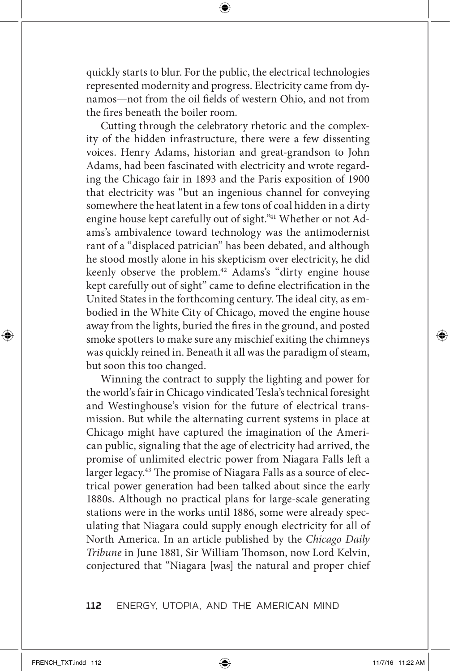quickly starts to blur. For the public, the electrical technologies represented modernity and progress. Electricity came from dynamos—not from the oil fields of western Ohio, and not from the fires beneath the boiler room.

⊕

Cutting through the celebratory rhetoric and the complexity of the hidden infrastructure, there were a few dissenting voices. Henry Adams, historian and great-grandson to John Adams, had been fascinated with electricity and wrote regarding the Chicago fair in 1893 and the Paris exposition of 1900 that electricity was "but an ingenious channel for conveying somewhere the heat latent in a few tons of coal hidden in a dirty engine house kept carefully out of sight."41 Whether or not Adams's ambivalence toward technology was the antimodernist rant of a "displaced patrician" has been debated, and although he stood mostly alone in his skepticism over electricity, he did keenly observe the problem.<sup>42</sup> Adams's "dirty engine house kept carefully out of sight" came to define electrification in the United States in the forthcoming century. The ideal city, as embodied in the White City of Chicago, moved the engine house away from the lights, buried the fires in the ground, and posted smoke spotters to make sure any mischief exiting the chimneys was quickly reined in. Beneath it all was the paradigm of steam, but soon this too changed.

Winning the contract to supply the lighting and power for the world's fair in Chicago vindicated Tesla's technical foresight and Westinghouse's vision for the future of electrical transmission. But while the alternating current systems in place at Chicago might have captured the imagination of the American public, signaling that the age of electricity had arrived, the promise of unlimited electric power from Niagara Falls left a larger legacy.43 The promise of Niagara Falls as a source of electrical power generation had been talked about since the early 1880s. Although no practical plans for large-scale generating stations were in the works until 1886, some were already speculating that Niagara could supply enough electricity for all of North America. In an article published by the *Chicago Daily Tribune* in June 1881, Sir William Thomson, now Lord Kelvin, conjectured that "Niagara [was] the natural and proper chief

**112** ENERGY, UTOPIA, AND THE AMERICAN MIND

♠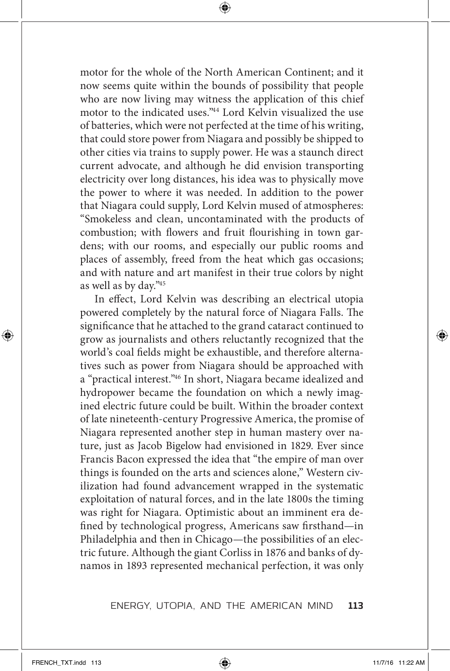motor for the whole of the North American Continent; and it now seems quite within the bounds of possibility that people who are now living may witness the application of this chief motor to the indicated uses."44 Lord Kelvin visualized the use of batteries, which were not perfected at the time of his writing, that could store power from Niagara and possibly be shipped to other cities via trains to supply power. He was a staunch direct current advocate, and although he did envision transporting electricity over long distances, his idea was to physically move the power to where it was needed. In addition to the power that Niagara could supply, Lord Kelvin mused of atmospheres: "Smokeless and clean, uncontaminated with the products of combustion; with flowers and fruit flourishing in town gardens; with our rooms, and especially our public rooms and places of assembly, freed from the heat which gas occasions; and with nature and art manifest in their true colors by night as well as by day."45

⊕

In effect, Lord Kelvin was describing an electrical utopia powered completely by the natural force of Niagara Falls. The significance that he attached to the grand cataract continued to grow as journalists and others reluctantly recognized that the world's coal fields might be exhaustible, and therefore alternatives such as power from Niagara should be approached with a "practical interest."46 In short, Niagara became idealized and hydropower became the foundation on which a newly imagined electric future could be built. Within the broader context of late nineteenth-century Progressive America, the promise of Niagara represented another step in human mastery over nature, just as Jacob Bigelow had envisioned in 1829. Ever since Francis Bacon expressed the idea that "the empire of man over things is founded on the arts and sciences alone," Western civilization had found advancement wrapped in the systematic exploitation of natural forces, and in the late 1800s the timing was right for Niagara. Optimistic about an imminent era defined by technological progress, Americans saw firsthand—in Philadelphia and then in Chicago—the possibilities of an electric future. Although the giant Corliss in 1876 and banks of dynamos in 1893 represented mechanical perfection, it was only

ENERGY, UTOPIA, AND THE AMERICAN MIND **113**

♠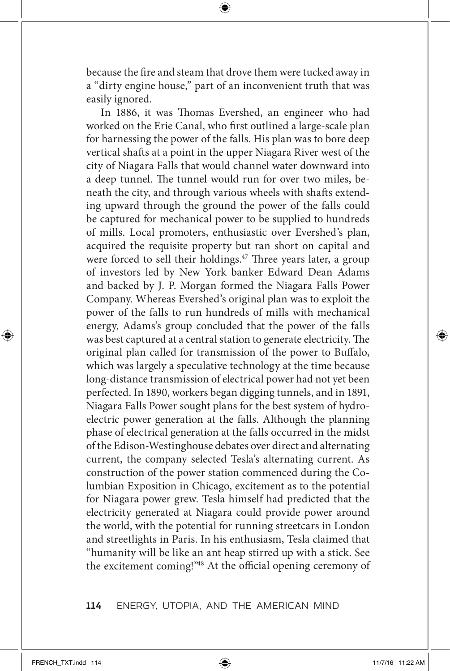because the fire and steam that drove them were tucked away in a "dirty engine house," part of an inconvenient truth that was easily ignored.

⊕

In 1886, it was Thomas Evershed, an engineer who had worked on the Erie Canal, who first outlined a large-scale plan for harnessing the power of the falls. His plan was to bore deep vertical shafts at a point in the upper Niagara River west of the city of Niagara Falls that would channel water downward into a deep tunnel. The tunnel would run for over two miles, beneath the city, and through various wheels with shafts extending upward through the ground the power of the falls could be captured for mechanical power to be supplied to hundreds of mills. Local promoters, enthusiastic over Evershed's plan, acquired the requisite property but ran short on capital and were forced to sell their holdings.<sup>47</sup> Three years later, a group of investors led by New York banker Edward Dean Adams and backed by J. P. Morgan formed the Niagara Falls Power Company. Whereas Evershed's original plan was to exploit the power of the falls to run hundreds of mills with mechanical energy, Adams's group concluded that the power of the falls was best captured at a central station to generate electricity. The original plan called for transmission of the power to Buffalo, which was largely a speculative technology at the time because long-distance transmission of electrical power had not yet been perfected. In 1890, workers began digging tunnels, and in 1891, Niagara Falls Power sought plans for the best system of hydroelectric power generation at the falls. Although the planning phase of electrical generation at the falls occurred in the midst of the Edison-Westinghouse debates over direct and alternating current, the company selected Tesla's alternating current. As construction of the power station commenced during the Columbian Exposition in Chicago, excitement as to the potential for Niagara power grew. Tesla himself had predicted that the electricity generated at Niagara could provide power around the world, with the potential for running streetcars in London and streetlights in Paris. In his enthusiasm, Tesla claimed that "humanity will be like an ant heap stirred up with a stick. See the excitement coming!"48 At the official opening ceremony of

# **114** ENERGY, UTOPIA, AND THE AMERICAN MIND

♠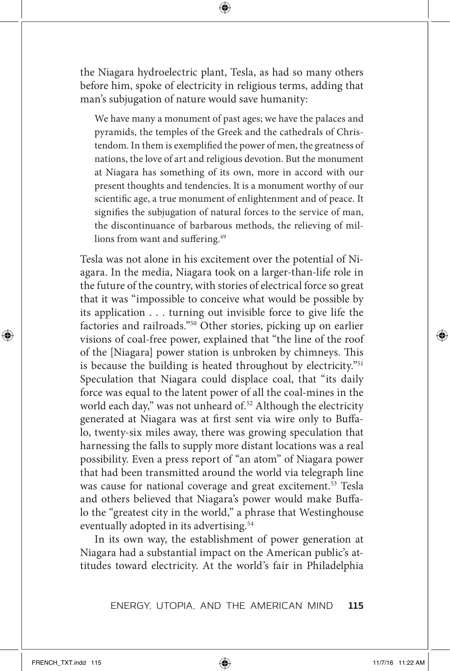the Niagara hydroelectric plant, Tesla, as had so many others before him, spoke of electricity in religious terms, adding that man's subjugation of nature would save humanity:

⊕

We have many a monument of past ages; we have the palaces and pyramids, the temples of the Greek and the cathedrals of Christendom. In them is exemplified the power of men, the greatness of nations, the love of art and religious devotion. But the monument at Niagara has something of its own, more in accord with our present thoughts and tendencies. It is a monument worthy of our scientific age, a true monument of enlightenment and of peace. It signifies the subjugation of natural forces to the service of man, the discontinuance of barbarous methods, the relieving of millions from want and suffering.<sup>49</sup>

Tesla was not alone in his excitement over the potential of Niagara. In the media, Niagara took on a larger-than-life role in the future of the country, with stories of electrical force so great that it was "impossible to conceive what would be possible by its application . . . turning out invisible force to give life the factories and railroads."50 Other stories, picking up on earlier visions of coal-free power, explained that "the line of the roof of the [Niagara] power station is unbroken by chimneys. This is because the building is heated throughout by electricity."51 Speculation that Niagara could displace coal, that "its daily force was equal to the latent power of all the coal-mines in the world each day," was not unheard of.<sup>52</sup> Although the electricity generated at Niagara was at first sent via wire only to Buffalo, twenty-six miles away, there was growing speculation that harnessing the falls to supply more distant locations was a real possibility. Even a press report of "an atom" of Niagara power that had been transmitted around the world via telegraph line was cause for national coverage and great excitement.<sup>53</sup> Tesla and others believed that Niagara's power would make Buffalo the "greatest city in the world," a phrase that Westinghouse eventually adopted in its advertising.<sup>54</sup>

In its own way, the establishment of power generation at Niagara had a substantial impact on the American public's attitudes toward electricity. At the world's fair in Philadelphia

♠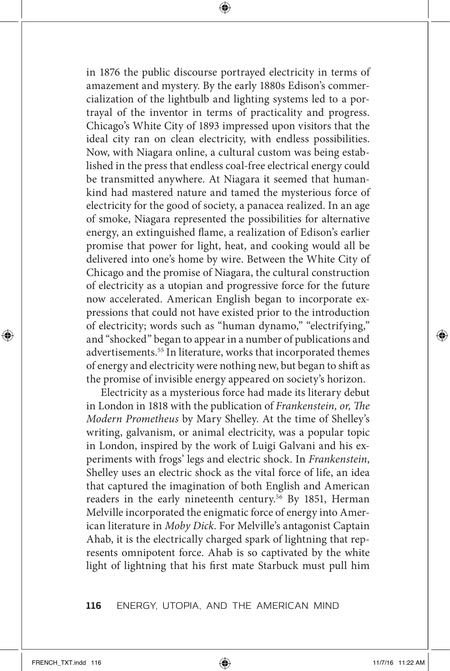in 1876 the public discourse portrayed electricity in terms of amazement and mystery. By the early 1880s Edison's commercialization of the lightbulb and lighting systems led to a portrayal of the inventor in terms of practicality and progress. Chicago's White City of 1893 impressed upon visitors that the ideal city ran on clean electricity, with endless possibilities. Now, with Niagara online, a cultural custom was being established in the press that endless coal-free electrical energy could be transmitted anywhere. At Niagara it seemed that humankind had mastered nature and tamed the mysterious force of electricity for the good of society, a panacea realized. In an age of smoke, Niagara represented the possibilities for alternative energy, an extinguished flame, a realization of Edison's earlier promise that power for light, heat, and cooking would all be delivered into one's home by wire. Between the White City of Chicago and the promise of Niagara, the cultural construction of electricity as a utopian and progressive force for the future now accelerated. American English began to incorporate expressions that could not have existed prior to the introduction of electricity; words such as "human dynamo," "electrifying," and "shocked" began to appear in a number of publications and advertisements.55 In literature, works that incorporated themes of energy and electricity were nothing new, but began to shift as the promise of invisible energy appeared on society's horizon.

⊕

Electricity as a mysterious force had made its literary debut in London in 1818 with the publication of *Frankenstein, or, The Modern Prometheus* by Mary Shelley. At the time of Shelley's writing, galvanism, or animal electricity, was a popular topic in London, inspired by the work of Luigi Galvani and his experiments with frogs' legs and electric shock. In *Frankenstein*, Shelley uses an electric shock as the vital force of life, an idea that captured the imagination of both English and American readers in the early nineteenth century.<sup>56</sup> By 1851, Herman Melville incorporated the enigmatic force of energy into American literature in *Moby Dick*. For Melville's antagonist Captain Ahab, it is the electrically charged spark of lightning that represents omnipotent force. Ahab is so captivated by the white light of lightning that his first mate Starbuck must pull him

**116** ENERGY, UTOPIA, AND THE AMERICAN MIND

♠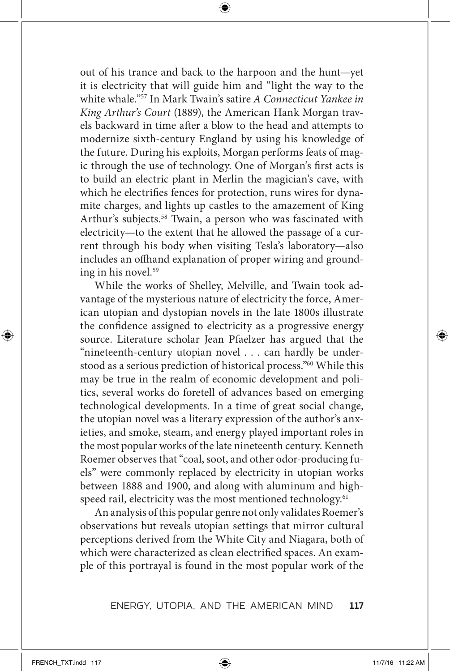out of his trance and back to the harpoon and the hunt—yet it is electricity that will guide him and "light the way to the white whale."57 In Mark Twain's satire *A Connecticut Yankee in King Arthur's Court* (1889), the American Hank Morgan travels backward in time after a blow to the head and attempts to modernize sixth-century England by using his knowledge of the future. During his exploits, Morgan performs feats of magic through the use of technology. One of Morgan's first acts is to build an electric plant in Merlin the magician's cave, with which he electrifies fences for protection, runs wires for dynamite charges, and lights up castles to the amazement of King Arthur's subjects.<sup>58</sup> Twain, a person who was fascinated with electricity—to the extent that he allowed the passage of a current through his body when visiting Tesla's laboratory—also includes an offhand explanation of proper wiring and grounding in his novel.59

⊕

While the works of Shelley, Melville, and Twain took advantage of the mysterious nature of electricity the force, American utopian and dystopian novels in the late 1800s illustrate the confidence assigned to electricity as a progressive energy source. Literature scholar Jean Pfaelzer has argued that the "nineteenth-century utopian novel . . . can hardly be understood as a serious prediction of historical process."60 While this may be true in the realm of economic development and politics, several works do foretell of advances based on emerging technological developments. In a time of great social change, the utopian novel was a literary expression of the author's anxieties, and smoke, steam, and energy played important roles in the most popular works of the late nineteenth century. Kenneth Roemer observes that "coal, soot, and other odor-producing fuels" were commonly replaced by electricity in utopian works between 1888 and 1900, and along with aluminum and highspeed rail, electricity was the most mentioned technology.<sup>61</sup>

An analysis of this popular genre not only validates Roemer's observations but reveals utopian settings that mirror cultural perceptions derived from the White City and Niagara, both of which were characterized as clean electrified spaces. An example of this portrayal is found in the most popular work of the

♠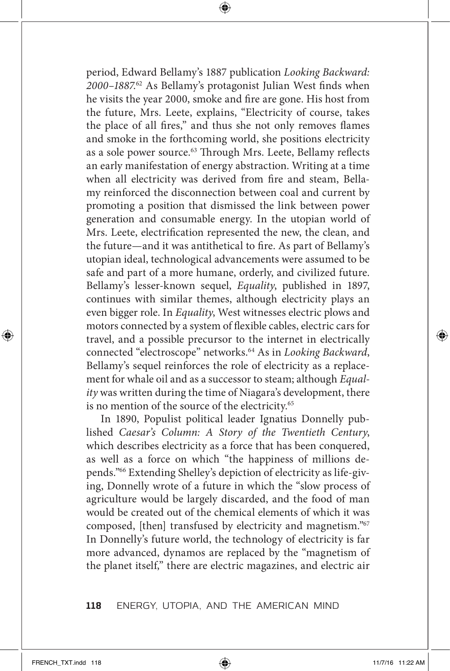period, Edward Bellamy's 1887 publication *Looking Backward:*  2000–1887.<sup>62</sup> As Bellamy's protagonist Julian West finds when he visits the year 2000, smoke and fire are gone. His host from the future, Mrs. Leete, explains, "Electricity of course, takes the place of all fires," and thus she not only removes flames and smoke in the forthcoming world, she positions electricity as a sole power source.<sup>63</sup> Through Mrs. Leete, Bellamy reflects an early manifestation of energy abstraction. Writing at a time when all electricity was derived from fire and steam, Bellamy reinforced the disconnection between coal and current by promoting a position that dismissed the link between power generation and consumable energy. In the utopian world of Mrs. Leete, electrification represented the new, the clean, and the future—and it was antithetical to fire. As part of Bellamy's utopian ideal, technological advancements were assumed to be safe and part of a more humane, orderly, and civilized future. Bellamy's lesser-known sequel, *Equality*, published in 1897, continues with similar themes, although electricity plays an even bigger role. In *Equality*, West witnesses electric plows and motors connected by a system of flexible cables, electric cars for travel, and a possible precursor to the internet in electrically connected "electroscope" networks.64 As in *Looking Backward*, Bellamy's sequel reinforces the role of electricity as a replacement for whale oil and as a successor to steam; although *Equality* was written during the time of Niagara's development, there is no mention of the source of the electricity.<sup>65</sup>

⊕

In 1890, Populist political leader Ignatius Donnelly published *Caesar's Column: A Story of the Twentieth Century*, which describes electricity as a force that has been conquered, as well as a force on which "the happiness of millions depends."66 Extending Shelley's depiction of electricity as life-giving, Donnelly wrote of a future in which the "slow process of agriculture would be largely discarded, and the food of man would be created out of the chemical elements of which it was composed, [then] transfused by electricity and magnetism."67 In Donnelly's future world, the technology of electricity is far more advanced, dynamos are replaced by the "magnetism of the planet itself," there are electric magazines, and electric air

**118** ENERGY, UTOPIA, AND THE AMERICAN MIND

♠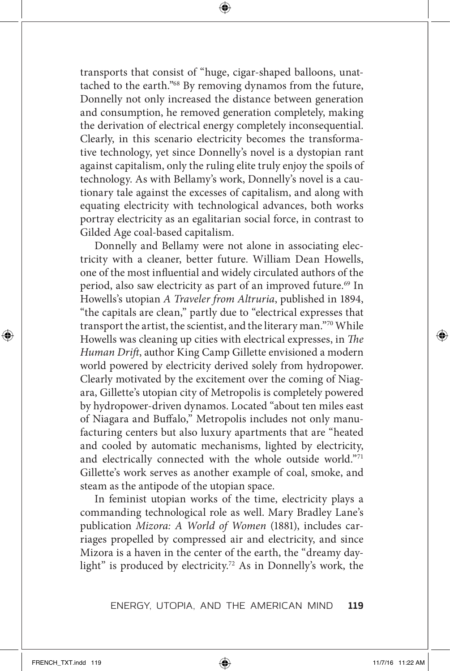transports that consist of "huge, cigar-shaped balloons, unattached to the earth."68 By removing dynamos from the future, Donnelly not only increased the distance between generation and consumption, he removed generation completely, making the derivation of electrical energy completely inconsequential. Clearly, in this scenario electricity becomes the transformative technology, yet since Donnelly's novel is a dystopian rant against capitalism, only the ruling elite truly enjoy the spoils of technology. As with Bellamy's work, Donnelly's novel is a cautionary tale against the excesses of capitalism, and along with equating electricity with technological advances, both works portray electricity as an egalitarian social force, in contrast to Gilded Age coal-based capitalism.

 $\bigoplus$ 

Donnelly and Bellamy were not alone in associating electricity with a cleaner, better future. William Dean Howells, one of the most influential and widely circulated authors of the period, also saw electricity as part of an improved future.<sup>69</sup> In Howells's utopian *A Traveler from Altruria*, published in 1894, "the capitals are clean," partly due to "electrical expresses that transport the artist, the scientist, and the literary man."70 While Howells was cleaning up cities with electrical expresses, in *The Human Drift*, author King Camp Gillette envisioned a modern world powered by electricity derived solely from hydropower. Clearly motivated by the excitement over the coming of Niagara, Gillette's utopian city of Metropolis is completely powered by hydropower-driven dynamos. Located "about ten miles east of Niagara and Buffalo," Metropolis includes not only manufacturing centers but also luxury apartments that are "heated and cooled by automatic mechanisms, lighted by electricity, and electrically connected with the whole outside world."71 Gillette's work serves as another example of coal, smoke, and steam as the antipode of the utopian space.

In feminist utopian works of the time, electricity plays a commanding technological role as well. Mary Bradley Lane's publication *Mizora: A World of Women* (1881), includes carriages propelled by compressed air and electricity, and since Mizora is a haven in the center of the earth, the "dreamy daylight" is produced by electricity.<sup>72</sup> As in Donnelly's work, the

ENERGY, UTOPIA, AND THE AMERICAN MIND **119**

♠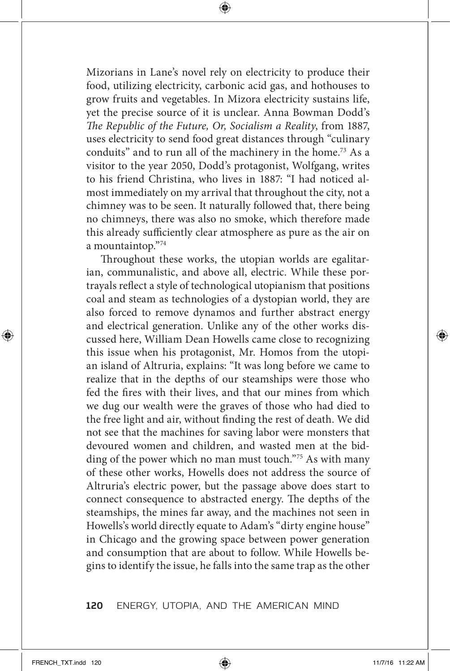Mizorians in Lane's novel rely on electricity to produce their food, utilizing electricity, carbonic acid gas, and hothouses to grow fruits and vegetables. In Mizora electricity sustains life, yet the precise source of it is unclear. Anna Bowman Dodd's *The Republic of the Future, Or, Socialism a Reality*, from 1887, uses electricity to send food great distances through "culinary conduits" and to run all of the machinery in the home.73 As a visitor to the year 2050, Dodd's protagonist, Wolfgang, writes to his friend Christina, who lives in 1887: "I had noticed almost immediately on my arrival that throughout the city, not a chimney was to be seen. It naturally followed that, there being no chimneys, there was also no smoke, which therefore made this already sufficiently clear atmosphere as pure as the air on a mountaintop."74

⊕

Throughout these works, the utopian worlds are egalitarian, communalistic, and above all, electric. While these portrayals reflect a style of technological utopianism that positions coal and steam as technologies of a dystopian world, they are also forced to remove dynamos and further abstract energy and electrical generation. Unlike any of the other works discussed here, William Dean Howells came close to recognizing this issue when his protagonist, Mr. Homos from the utopian island of Altruria, explains: "It was long before we came to realize that in the depths of our steamships were those who fed the fires with their lives, and that our mines from which we dug our wealth were the graves of those who had died to the free light and air, without finding the rest of death. We did not see that the machines for saving labor were monsters that devoured women and children, and wasted men at the bidding of the power which no man must touch."<sup>75</sup> As with many of these other works, Howells does not address the source of Altruria's electric power, but the passage above does start to connect consequence to abstracted energy. The depths of the steamships, the mines far away, and the machines not seen in Howells's world directly equate to Adam's "dirty engine house" in Chicago and the growing space between power generation and consumption that are about to follow. While Howells begins to identify the issue, he falls into the same trap as the other

**120** ENERGY, UTOPIA, AND THE AMERICAN MIND

♠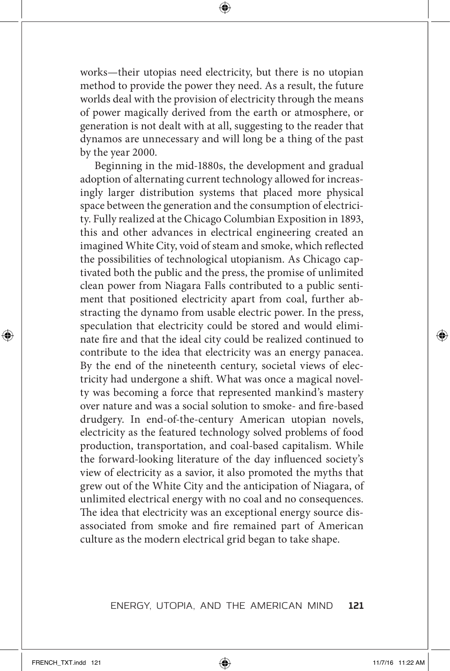works—their utopias need electricity, but there is no utopian method to provide the power they need. As a result, the future worlds deal with the provision of electricity through the means of power magically derived from the earth or atmosphere, or generation is not dealt with at all, suggesting to the reader that dynamos are unnecessary and will long be a thing of the past by the year 2000.

⊕

Beginning in the mid-1880s, the development and gradual adoption of alternating current technology allowed for increasingly larger distribution systems that placed more physical space between the generation and the consumption of electricity. Fully realized at the Chicago Columbian Exposition in 1893, this and other advances in electrical engineering created an imagined White City, void of steam and smoke, which reflected the possibilities of technological utopianism. As Chicago captivated both the public and the press, the promise of unlimited clean power from Niagara Falls contributed to a public sentiment that positioned electricity apart from coal, further abstracting the dynamo from usable electric power. In the press, speculation that electricity could be stored and would eliminate fire and that the ideal city could be realized continued to contribute to the idea that electricity was an energy panacea. By the end of the nineteenth century, societal views of electricity had undergone a shift. What was once a magical novelty was becoming a force that represented mankind's mastery over nature and was a social solution to smoke- and fire-based drudgery. In end-of-the-century American utopian novels, electricity as the featured technology solved problems of food production, transportation, and coal-based capitalism. While the forward-looking literature of the day influenced society's view of electricity as a savior, it also promoted the myths that grew out of the White City and the anticipation of Niagara, of unlimited electrical energy with no coal and no consequences. The idea that electricity was an exceptional energy source disassociated from smoke and fire remained part of American culture as the modern electrical grid began to take shape.

⊕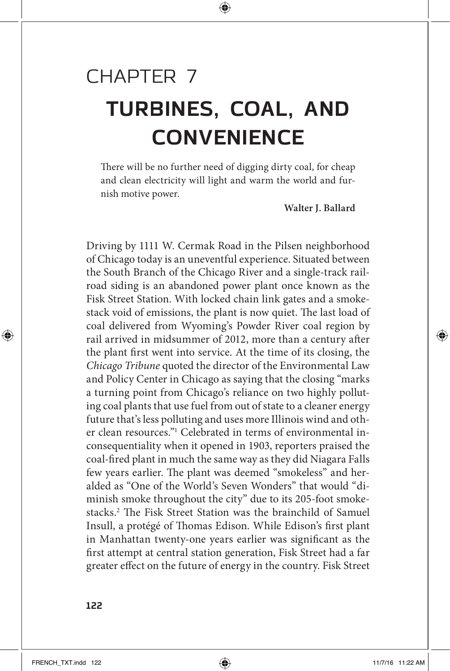# CHAPTER 7 **TURBINES, COAL, AND CONVENIENCE**

⊕

There will be no further need of digging dirty coal, for cheap and clean electricity will light and warm the world and furnish motive power.

**Walter J. Ballard**

Driving by 1111 W. Cermak Road in the Pilsen neighborhood of Chicago today is an uneventful experience. Situated between the South Branch of the Chicago River and a single-track railroad siding is an abandoned power plant once known as the Fisk Street Station. With locked chain link gates and a smokestack void of emissions, the plant is now quiet. The last load of coal delivered from Wyoming's Powder River coal region by rail arrived in midsummer of 2012, more than a century after the plant first went into service. At the time of its closing, the *Chicago Tribune* quoted the director of the Environmental Law and Policy Center in Chicago as saying that the closing "marks a turning point from Chicago's reliance on two highly polluting coal plants that use fuel from out of state to a cleaner energy future that's less polluting and uses more Illinois wind and other clean resources."1 Celebrated in terms of environmental inconsequentiality when it opened in 1903, reporters praised the coal-fired plant in much the same way as they did Niagara Falls few years earlier. The plant was deemed "smokeless" and heralded as "One of the World's Seven Wonders" that would "diminish smoke throughout the city" due to its 205-foot smokestacks.2 The Fisk Street Station was the brainchild of Samuel Insull, a protégé of Thomas Edison. While Edison's first plant in Manhattan twenty-one years earlier was significant as the first attempt at central station generation, Fisk Street had a far greater effect on the future of energy in the country. Fisk Street

**122**

♠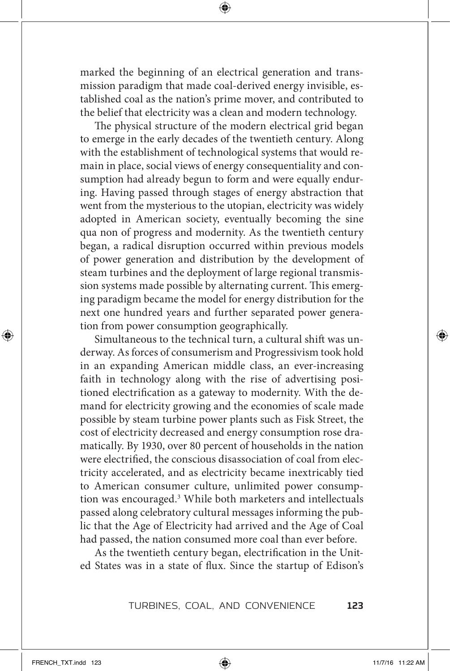marked the beginning of an electrical generation and transmission paradigm that made coal-derived energy invisible, established coal as the nation's prime mover, and contributed to the belief that electricity was a clean and modern technology.

⊕

The physical structure of the modern electrical grid began to emerge in the early decades of the twentieth century. Along with the establishment of technological systems that would remain in place, social views of energy consequentiality and consumption had already begun to form and were equally enduring. Having passed through stages of energy abstraction that went from the mysterious to the utopian, electricity was widely adopted in American society, eventually becoming the sine qua non of progress and modernity. As the twentieth century began, a radical disruption occurred within previous models of power generation and distribution by the development of steam turbines and the deployment of large regional transmission systems made possible by alternating current. This emerging paradigm became the model for energy distribution for the next one hundred years and further separated power generation from power consumption geographically.

Simultaneous to the technical turn, a cultural shift was underway. As forces of consumerism and Progressivism took hold in an expanding American middle class, an ever-increasing faith in technology along with the rise of advertising positioned electrification as a gateway to modernity. With the demand for electricity growing and the economies of scale made possible by steam turbine power plants such as Fisk Street, the cost of electricity decreased and energy consumption rose dramatically. By 1930, over 80 percent of households in the nation were electrified, the conscious disassociation of coal from electricity accelerated, and as electricity became inextricably tied to American consumer culture, unlimited power consumption was encouraged.<sup>3</sup> While both marketers and intellectuals passed along celebratory cultural messages informing the public that the Age of Electricity had arrived and the Age of Coal had passed, the nation consumed more coal than ever before.

As the twentieth century began, electrification in the United States was in a state of flux. Since the startup of Edison's

#### TURBINES, COAL, AND CONVENIENCE **123**

♠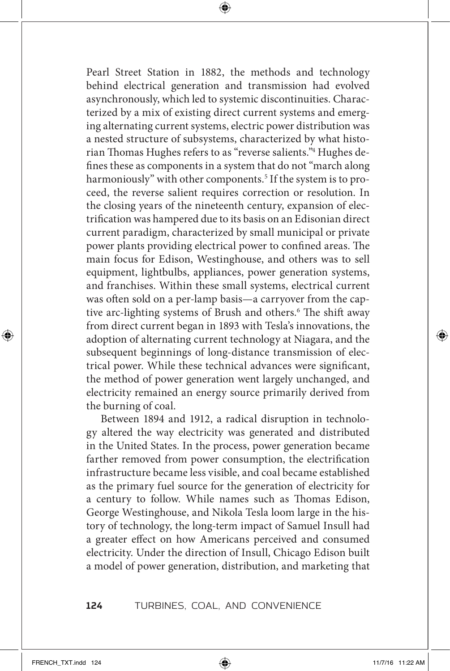Pearl Street Station in 1882, the methods and technology behind electrical generation and transmission had evolved asynchronously, which led to systemic discontinuities. Characterized by a mix of existing direct current systems and emerging alternating current systems, electric power distribution was a nested structure of subsystems, characterized by what historian Thomas Hughes refers to as "reverse salients."4 Hughes defines these as components in a system that do not "march along harmoniously" with other components.<sup>5</sup> If the system is to proceed, the reverse salient requires correction or resolution. In the closing years of the nineteenth century, expansion of electrification was hampered due to its basis on an Edisonian direct current paradigm, characterized by small municipal or private power plants providing electrical power to confined areas. The main focus for Edison, Westinghouse, and others was to sell equipment, lightbulbs, appliances, power generation systems, and franchises. Within these small systems, electrical current was often sold on a per-lamp basis—a carryover from the captive arc-lighting systems of Brush and others.6 The shift away from direct current began in 1893 with Tesla's innovations, the adoption of alternating current technology at Niagara, and the subsequent beginnings of long-distance transmission of electrical power. While these technical advances were significant, the method of power generation went largely unchanged, and electricity remained an energy source primarily derived from the burning of coal.

⊕

Between 1894 and 1912, a radical disruption in technology altered the way electricity was generated and distributed in the United States. In the process, power generation became farther removed from power consumption, the electrification infrastructure became less visible, and coal became established as the primary fuel source for the generation of electricity for a century to follow. While names such as Thomas Edison, George Westinghouse, and Nikola Tesla loom large in the history of technology, the long-term impact of Samuel Insull had a greater effect on how Americans perceived and consumed electricity. Under the direction of Insull, Chicago Edison built a model of power generation, distribution, and marketing that

#### **124** TURBINES, COAL, AND CONVENIENCE

♠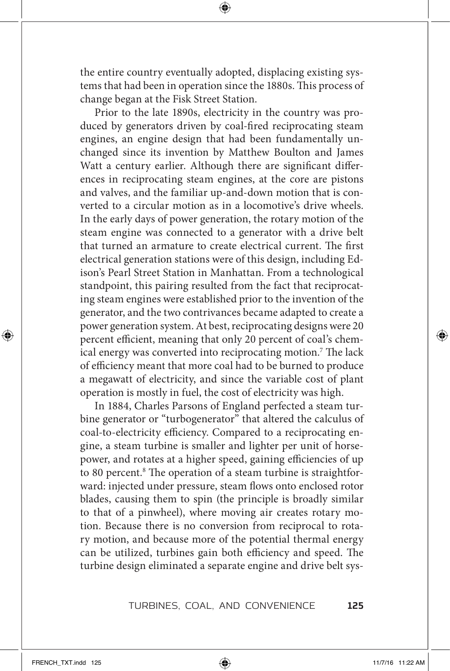the entire country eventually adopted, displacing existing systems that had been in operation since the 1880s. This process of change began at the Fisk Street Station.

⊕

Prior to the late 1890s, electricity in the country was produced by generators driven by coal-fired reciprocating steam engines, an engine design that had been fundamentally unchanged since its invention by Matthew Boulton and James Watt a century earlier. Although there are significant differences in reciprocating steam engines, at the core are pistons and valves, and the familiar up-and-down motion that is converted to a circular motion as in a locomotive's drive wheels. In the early days of power generation, the rotary motion of the steam engine was connected to a generator with a drive belt that turned an armature to create electrical current. The first electrical generation stations were of this design, including Edison's Pearl Street Station in Manhattan. From a technological standpoint, this pairing resulted from the fact that reciprocating steam engines were established prior to the invention of the generator, and the two contrivances became adapted to create a power generation system. At best, reciprocating designs were 20 percent efficient, meaning that only 20 percent of coal's chemical energy was converted into reciprocating motion.7 The lack of efficiency meant that more coal had to be burned to produce a megawatt of electricity, and since the variable cost of plant operation is mostly in fuel, the cost of electricity was high.

In 1884, Charles Parsons of England perfected a steam turbine generator or "turbogenerator" that altered the calculus of coal-to-electricity efficiency. Compared to a reciprocating engine, a steam turbine is smaller and lighter per unit of horsepower, and rotates at a higher speed, gaining efficiencies of up to 80 percent.<sup>8</sup> The operation of a steam turbine is straightforward: injected under pressure, steam flows onto enclosed rotor blades, causing them to spin (the principle is broadly similar to that of a pinwheel), where moving air creates rotary motion. Because there is no conversion from reciprocal to rotary motion, and because more of the potential thermal energy can be utilized, turbines gain both efficiency and speed. The turbine design eliminated a separate engine and drive belt sys-

#### TURBINES, COAL, AND CONVENIENCE **125**

♠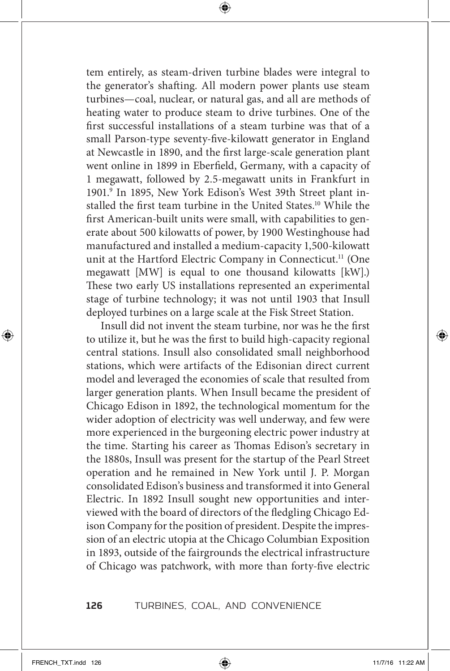tem entirely, as steam-driven turbine blades were integral to the generator's shafting. All modern power plants use steam turbines—coal, nuclear, or natural gas, and all are methods of heating water to produce steam to drive turbines. One of the first successful installations of a steam turbine was that of a small Parson-type seventy-five-kilowatt generator in England at Newcastle in 1890, and the first large-scale generation plant went online in 1899 in Eberfield, Germany, with a capacity of 1 megawatt, followed by 2.5-megawatt units in Frankfurt in 1901.9 In 1895, New York Edison's West 39th Street plant installed the first team turbine in the United States.10 While the first American-built units were small, with capabilities to generate about 500 kilowatts of power, by 1900 Westinghouse had manufactured and installed a medium-capacity 1,500-kilowatt unit at the Hartford Electric Company in Connecticut.<sup>11</sup> (One megawatt [MW] is equal to one thousand kilowatts [kW].) These two early US installations represented an experimental stage of turbine technology; it was not until 1903 that Insull deployed turbines on a large scale at the Fisk Street Station.

⊕

Insull did not invent the steam turbine, nor was he the first to utilize it, but he was the first to build high-capacity regional central stations. Insull also consolidated small neighborhood stations, which were artifacts of the Edisonian direct current model and leveraged the economies of scale that resulted from larger generation plants. When Insull became the president of Chicago Edison in 1892, the technological momentum for the wider adoption of electricity was well underway, and few were more experienced in the burgeoning electric power industry at the time. Starting his career as Thomas Edison's secretary in the 1880s, Insull was present for the startup of the Pearl Street operation and he remained in New York until J. P. Morgan consolidated Edison's business and transformed it into General Electric. In 1892 Insull sought new opportunities and interviewed with the board of directors of the fledgling Chicago Edison Company for the position of president. Despite the impression of an electric utopia at the Chicago Columbian Exposition in 1893, outside of the fairgrounds the electrical infrastructure of Chicago was patchwork, with more than forty-five electric

## **126** TURBINES, COAL, AND CONVENIENCE

♠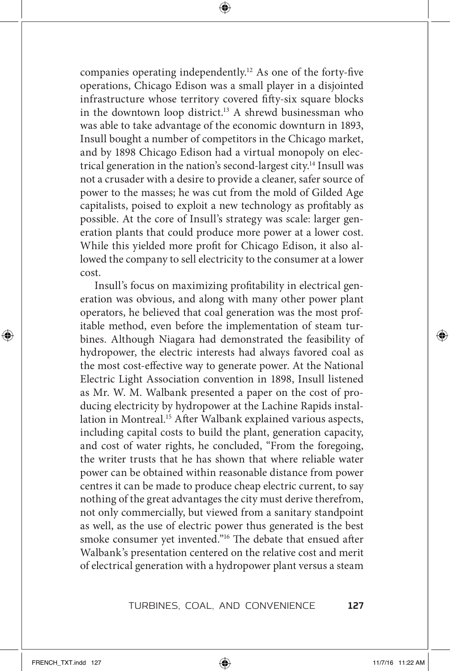companies operating independently.12 As one of the forty-five operations, Chicago Edison was a small player in a disjointed infrastructure whose territory covered fifty-six square blocks in the downtown loop district.<sup>13</sup> A shrewd businessman who was able to take advantage of the economic downturn in 1893, Insull bought a number of competitors in the Chicago market, and by 1898 Chicago Edison had a virtual monopoly on electrical generation in the nation's second-largest city.<sup>14</sup> Insull was not a crusader with a desire to provide a cleaner, safer source of power to the masses; he was cut from the mold of Gilded Age capitalists, poised to exploit a new technology as profitably as possible. At the core of Insull's strategy was scale: larger generation plants that could produce more power at a lower cost. While this yielded more profit for Chicago Edison, it also allowed the company to sell electricity to the consumer at a lower cost.

⊕

Insull's focus on maximizing profitability in electrical generation was obvious, and along with many other power plant operators, he believed that coal generation was the most profitable method, even before the implementation of steam turbines. Although Niagara had demonstrated the feasibility of hydropower, the electric interests had always favored coal as the most cost-effective way to generate power. At the National Electric Light Association convention in 1898, Insull listened as Mr. W. M. Walbank presented a paper on the cost of producing electricity by hydropower at the Lachine Rapids installation in Montreal.15 After Walbank explained various aspects, including capital costs to build the plant, generation capacity, and cost of water rights, he concluded, "From the foregoing, the writer trusts that he has shown that where reliable water power can be obtained within reasonable distance from power centres it can be made to produce cheap electric current, to say nothing of the great advantages the city must derive therefrom, not only commercially, but viewed from a sanitary standpoint as well, as the use of electric power thus generated is the best smoke consumer yet invented."16 The debate that ensued after Walbank's presentation centered on the relative cost and merit of electrical generation with a hydropower plant versus a steam

#### TURBINES, COAL, AND CONVENIENCE **127**

♠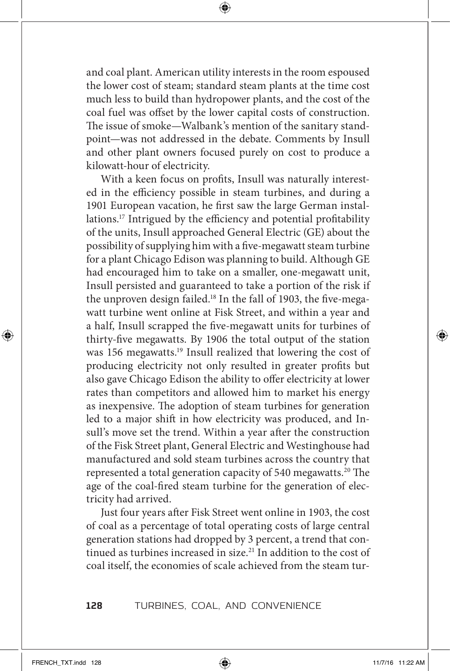and coal plant. American utility interests in the room espoused the lower cost of steam; standard steam plants at the time cost much less to build than hydropower plants, and the cost of the coal fuel was offset by the lower capital costs of construction. The issue of smoke—Walbank's mention of the sanitary standpoint—was not addressed in the debate. Comments by Insull and other plant owners focused purely on cost to produce a kilowatt-hour of electricity.

⊕

With a keen focus on profits, Insull was naturally interested in the efficiency possible in steam turbines, and during a 1901 European vacation, he first saw the large German installations.17 Intrigued by the efficiency and potential profitability of the units, Insull approached General Electric (GE) about the possibility of supplying him with a five-megawatt steam turbine for a plant Chicago Edison was planning to build. Although GE had encouraged him to take on a smaller, one-megawatt unit, Insull persisted and guaranteed to take a portion of the risk if the unproven design failed.<sup>18</sup> In the fall of 1903, the five-megawatt turbine went online at Fisk Street, and within a year and a half, Insull scrapped the five-megawatt units for turbines of thirty-five megawatts. By 1906 the total output of the station was 156 megawatts.<sup>19</sup> Insull realized that lowering the cost of producing electricity not only resulted in greater profits but also gave Chicago Edison the ability to offer electricity at lower rates than competitors and allowed him to market his energy as inexpensive. The adoption of steam turbines for generation led to a major shift in how electricity was produced, and Insull's move set the trend. Within a year after the construction of the Fisk Street plant, General Electric and Westinghouse had manufactured and sold steam turbines across the country that represented a total generation capacity of 540 megawatts.20 The age of the coal-fired steam turbine for the generation of electricity had arrived.

Just four years after Fisk Street went online in 1903, the cost of coal as a percentage of total operating costs of large central generation stations had dropped by 3 percent, a trend that continued as turbines increased in size.<sup>21</sup> In addition to the cost of coal itself, the economies of scale achieved from the steam tur-

### **128** TURBINES, COAL, AND CONVENIENCE

♠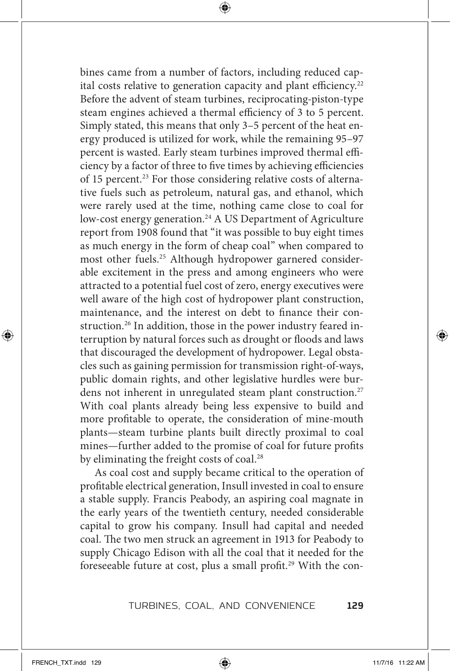bines came from a number of factors, including reduced capital costs relative to generation capacity and plant efficiency.<sup>22</sup> Before the advent of steam turbines, reciprocating-piston-type steam engines achieved a thermal efficiency of 3 to 5 percent. Simply stated, this means that only 3–5 percent of the heat energy produced is utilized for work, while the remaining 95–97 percent is wasted. Early steam turbines improved thermal efficiency by a factor of three to five times by achieving efficiencies of 15 percent.23 For those considering relative costs of alternative fuels such as petroleum, natural gas, and ethanol, which were rarely used at the time, nothing came close to coal for low-cost energy generation.<sup>24</sup> A US Department of Agriculture report from 1908 found that "it was possible to buy eight times as much energy in the form of cheap coal" when compared to most other fuels.25 Although hydropower garnered considerable excitement in the press and among engineers who were attracted to a potential fuel cost of zero, energy executives were well aware of the high cost of hydropower plant construction, maintenance, and the interest on debt to finance their construction.<sup>26</sup> In addition, those in the power industry feared interruption by natural forces such as drought or floods and laws that discouraged the development of hydropower. Legal obstacles such as gaining permission for transmission right-of-ways, public domain rights, and other legislative hurdles were burdens not inherent in unregulated steam plant construction.27 With coal plants already being less expensive to build and more profitable to operate, the consideration of mine-mouth plants—steam turbine plants built directly proximal to coal mines—further added to the promise of coal for future profits by eliminating the freight costs of coal.<sup>28</sup>

⊕

As coal cost and supply became critical to the operation of profitable electrical generation, Insull invested in coal to ensure a stable supply. Francis Peabody, an aspiring coal magnate in the early years of the twentieth century, needed considerable capital to grow his company. Insull had capital and needed coal. The two men struck an agreement in 1913 for Peabody to supply Chicago Edison with all the coal that it needed for the foreseeable future at cost, plus a small profit.<sup>29</sup> With the con-

TURBINES, COAL, AND CONVENIENCE **129**

♠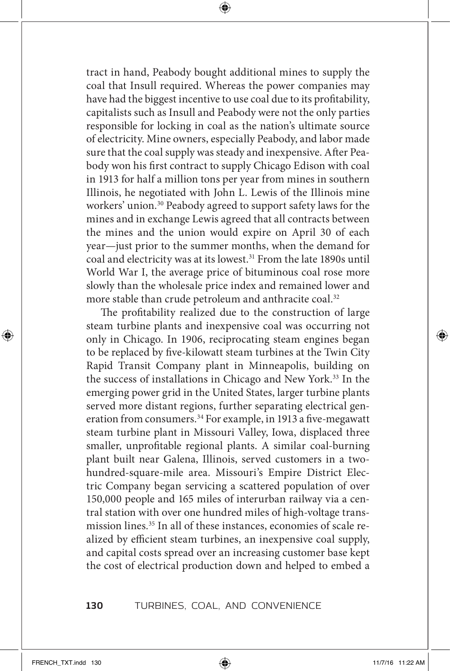tract in hand, Peabody bought additional mines to supply the coal that Insull required. Whereas the power companies may have had the biggest incentive to use coal due to its profitability, capitalists such as Insull and Peabody were not the only parties responsible for locking in coal as the nation's ultimate source of electricity. Mine owners, especially Peabody, and labor made sure that the coal supply was steady and inexpensive. After Peabody won his first contract to supply Chicago Edison with coal in 1913 for half a million tons per year from mines in southern Illinois, he negotiated with John L. Lewis of the Illinois mine workers' union.30 Peabody agreed to support safety laws for the mines and in exchange Lewis agreed that all contracts between the mines and the union would expire on April 30 of each year—just prior to the summer months, when the demand for coal and electricity was at its lowest.<sup>31</sup> From the late 1890s until World War I, the average price of bituminous coal rose more slowly than the wholesale price index and remained lower and more stable than crude petroleum and anthracite coal.<sup>32</sup>

⊕

The profitability realized due to the construction of large steam turbine plants and inexpensive coal was occurring not only in Chicago. In 1906, reciprocating steam engines began to be replaced by five-kilowatt steam turbines at the Twin City Rapid Transit Company plant in Minneapolis, building on the success of installations in Chicago and New York.<sup>33</sup> In the emerging power grid in the United States, larger turbine plants served more distant regions, further separating electrical generation from consumers.34 For example, in 1913 a five-megawatt steam turbine plant in Missouri Valley, Iowa, displaced three smaller, unprofitable regional plants. A similar coal-burning plant built near Galena, Illinois, served customers in a twohundred-square-mile area. Missouri's Empire District Electric Company began servicing a scattered population of over 150,000 people and 165 miles of interurban railway via a central station with over one hundred miles of high-voltage transmission lines.35 In all of these instances, economies of scale realized by efficient steam turbines, an inexpensive coal supply, and capital costs spread over an increasing customer base kept the cost of electrical production down and helped to embed a

#### **130** TURBINES, COAL, AND CONVENIENCE

♠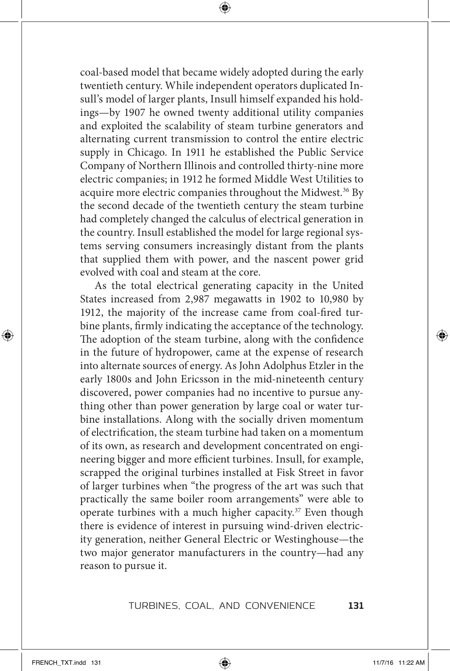coal-based model that became widely adopted during the early twentieth century. While independent operators duplicated Insull's model of larger plants, Insull himself expanded his holdings—by 1907 he owned twenty additional utility companies and exploited the scalability of steam turbine generators and alternating current transmission to control the entire electric supply in Chicago. In 1911 he established the Public Service Company of Northern Illinois and controlled thirty-nine more electric companies; in 1912 he formed Middle West Utilities to acquire more electric companies throughout the Midwest.<sup>36</sup> By the second decade of the twentieth century the steam turbine had completely changed the calculus of electrical generation in the country. Insull established the model for large regional systems serving consumers increasingly distant from the plants that supplied them with power, and the nascent power grid evolved with coal and steam at the core.

⊕

As the total electrical generating capacity in the United States increased from 2,987 megawatts in 1902 to 10,980 by 1912, the majority of the increase came from coal-fired turbine plants, firmly indicating the acceptance of the technology. The adoption of the steam turbine, along with the confidence in the future of hydropower, came at the expense of research into alternate sources of energy. As John Adolphus Etzler in the early 1800s and John Ericsson in the mid-nineteenth century discovered, power companies had no incentive to pursue anything other than power generation by large coal or water turbine installations. Along with the socially driven momentum of electrification, the steam turbine had taken on a momentum of its own, as research and development concentrated on engineering bigger and more efficient turbines. Insull, for example, scrapped the original turbines installed at Fisk Street in favor of larger turbines when "the progress of the art was such that practically the same boiler room arrangements" were able to operate turbines with a much higher capacity.<sup>37</sup> Even though there is evidence of interest in pursuing wind-driven electricity generation, neither General Electric or Westinghouse—the two major generator manufacturers in the country—had any reason to pursue it.

#### TURBINES, COAL, AND CONVENIENCE **131**

♠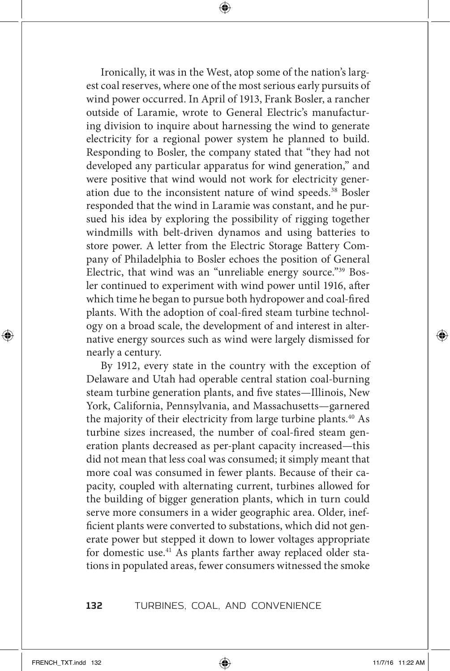Ironically, it was in the West, atop some of the nation's largest coal reserves, where one of the most serious early pursuits of wind power occurred. In April of 1913, Frank Bosler, a rancher outside of Laramie, wrote to General Electric's manufacturing division to inquire about harnessing the wind to generate electricity for a regional power system he planned to build. Responding to Bosler, the company stated that "they had not developed any particular apparatus for wind generation," and were positive that wind would not work for electricity generation due to the inconsistent nature of wind speeds.38 Bosler responded that the wind in Laramie was constant, and he pursued his idea by exploring the possibility of rigging together windmills with belt-driven dynamos and using batteries to store power. A letter from the Electric Storage Battery Company of Philadelphia to Bosler echoes the position of General Electric, that wind was an "unreliable energy source."39 Bosler continued to experiment with wind power until 1916, after which time he began to pursue both hydropower and coal-fired plants. With the adoption of coal-fired steam turbine technology on a broad scale, the development of and interest in alternative energy sources such as wind were largely dismissed for nearly a century.

⊕

By 1912, every state in the country with the exception of Delaware and Utah had operable central station coal-burning steam turbine generation plants, and five states—Illinois, New York, California, Pennsylvania, and Massachusetts—garnered the majority of their electricity from large turbine plants.40 As turbine sizes increased, the number of coal-fired steam generation plants decreased as per-plant capacity increased—this did not mean that less coal was consumed; it simply meant that more coal was consumed in fewer plants. Because of their capacity, coupled with alternating current, turbines allowed for the building of bigger generation plants, which in turn could serve more consumers in a wider geographic area. Older, inefficient plants were converted to substations, which did not generate power but stepped it down to lower voltages appropriate for domestic use.41 As plants farther away replaced older stations in populated areas, fewer consumers witnessed the smoke

#### **132** TURBINES, COAL, AND CONVENIENCE

♠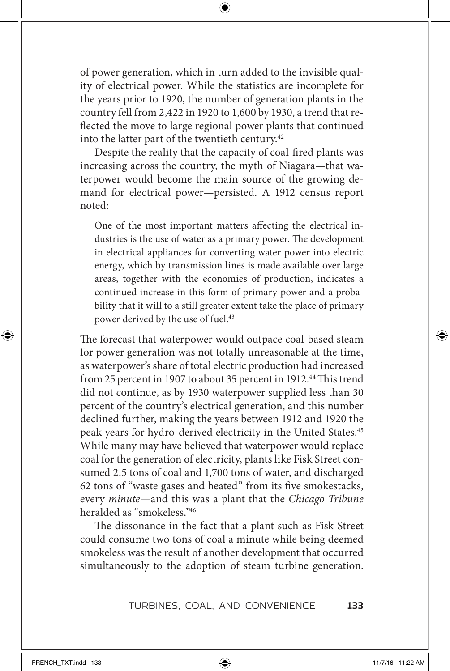of power generation, which in turn added to the invisible quality of electrical power. While the statistics are incomplete for the years prior to 1920, the number of generation plants in the country fell from 2,422 in 1920 to 1,600 by 1930, a trend that reflected the move to large regional power plants that continued into the latter part of the twentieth century.<sup>42</sup>

⊕

Despite the reality that the capacity of coal-fired plants was increasing across the country, the myth of Niagara—that waterpower would become the main source of the growing demand for electrical power—persisted. A 1912 census report noted:

One of the most important matters affecting the electrical industries is the use of water as a primary power. The development in electrical appliances for converting water power into electric energy, which by transmission lines is made available over large areas, together with the economies of production, indicates a continued increase in this form of primary power and a probability that it will to a still greater extent take the place of primary power derived by the use of fuel.<sup>43</sup>

The forecast that waterpower would outpace coal-based steam for power generation was not totally unreasonable at the time, as waterpower's share of total electric production had increased from 25 percent in 1907 to about 35 percent in 1912.<sup>44</sup> This trend did not continue, as by 1930 waterpower supplied less than 30 percent of the country's electrical generation, and this number declined further, making the years between 1912 and 1920 the peak years for hydro-derived electricity in the United States.45 While many may have believed that waterpower would replace coal for the generation of electricity, plants like Fisk Street consumed 2.5 tons of coal and 1,700 tons of water, and discharged 62 tons of "waste gases and heated" from its five smokestacks, every *minute*—and this was a plant that the *Chicago Tribune* heralded as "smokeless."46

The dissonance in the fact that a plant such as Fisk Street could consume two tons of coal a minute while being deemed smokeless was the result of another development that occurred simultaneously to the adoption of steam turbine generation.

#### TURBINES, COAL, AND CONVENIENCE **133**

♠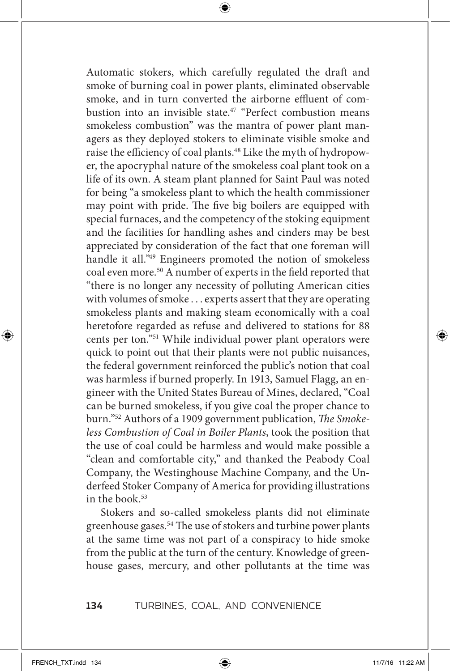Automatic stokers, which carefully regulated the draft and smoke of burning coal in power plants, eliminated observable smoke, and in turn converted the airborne effluent of combustion into an invisible state.<sup>47</sup> "Perfect combustion means smokeless combustion" was the mantra of power plant managers as they deployed stokers to eliminate visible smoke and raise the efficiency of coal plants.<sup>48</sup> Like the myth of hydropower, the apocryphal nature of the smokeless coal plant took on a life of its own. A steam plant planned for Saint Paul was noted for being "a smokeless plant to which the health commissioner may point with pride. The five big boilers are equipped with special furnaces, and the competency of the stoking equipment and the facilities for handling ashes and cinders may be best appreciated by consideration of the fact that one foreman will handle it all."49 Engineers promoted the notion of smokeless coal even more.50 A number of experts in the field reported that "there is no longer any necessity of polluting American cities with volumes of smoke . . . experts assert that they are operating smokeless plants and making steam economically with a coal heretofore regarded as refuse and delivered to stations for 88 cents per ton."51 While individual power plant operators were quick to point out that their plants were not public nuisances, the federal government reinforced the public's notion that coal was harmless if burned properly. In 1913, Samuel Flagg, an engineer with the United States Bureau of Mines, declared, "Coal can be burned smokeless, if you give coal the proper chance to burn."52 Authors of a 1909 government publication, *The Smokeless Combustion of Coal in Boiler Plants*, took the position that the use of coal could be harmless and would make possible a "clean and comfortable city," and thanked the Peabody Coal Company, the Westinghouse Machine Company, and the Underfeed Stoker Company of America for providing illustrations in the book  $53$ 

⊕

Stokers and so-called smokeless plants did not eliminate greenhouse gases.54 The use of stokers and turbine power plants at the same time was not part of a conspiracy to hide smoke from the public at the turn of the century. Knowledge of greenhouse gases, mercury, and other pollutants at the time was

#### **134** TURBINES, COAL, AND CONVENIENCE

♠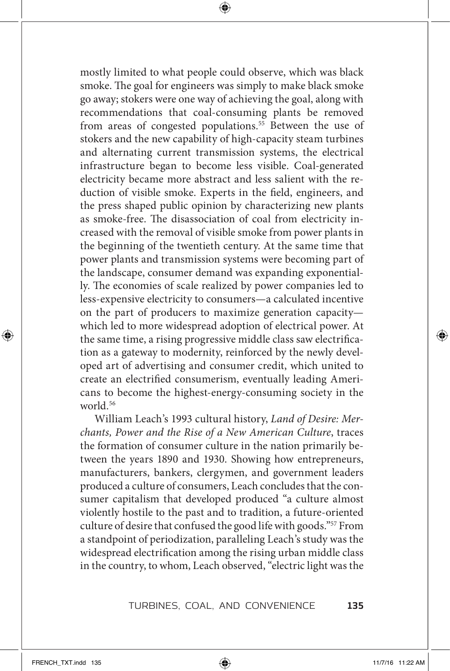mostly limited to what people could observe, which was black smoke. The goal for engineers was simply to make black smoke go away; stokers were one way of achieving the goal, along with recommendations that coal-consuming plants be removed from areas of congested populations.<sup>55</sup> Between the use of stokers and the new capability of high-capacity steam turbines and alternating current transmission systems, the electrical infrastructure began to become less visible. Coal-generated electricity became more abstract and less salient with the reduction of visible smoke. Experts in the field, engineers, and the press shaped public opinion by characterizing new plants as smoke-free. The disassociation of coal from electricity increased with the removal of visible smoke from power plants in the beginning of the twentieth century. At the same time that power plants and transmission systems were becoming part of the landscape, consumer demand was expanding exponentially. The economies of scale realized by power companies led to less-expensive electricity to consumers—a calculated incentive on the part of producers to maximize generation capacity which led to more widespread adoption of electrical power. At the same time, a rising progressive middle class saw electrification as a gateway to modernity, reinforced by the newly developed art of advertising and consumer credit, which united to create an electrified consumerism, eventually leading Americans to become the highest-energy-consuming society in the world.56

⊕

William Leach's 1993 cultural history, *Land of Desire: Merchants, Power and the Rise of a New American Culture*, traces the formation of consumer culture in the nation primarily between the years 1890 and 1930. Showing how entrepreneurs, manufacturers, bankers, clergymen, and government leaders produced a culture of consumers, Leach concludes that the consumer capitalism that developed produced "a culture almost violently hostile to the past and to tradition, a future-oriented culture of desire that confused the good life with goods."57 From a standpoint of periodization, paralleling Leach's study was the widespread electrification among the rising urban middle class in the country, to whom, Leach observed, "electric light was the

#### TURBINES, COAL, AND CONVENIENCE **135**

♠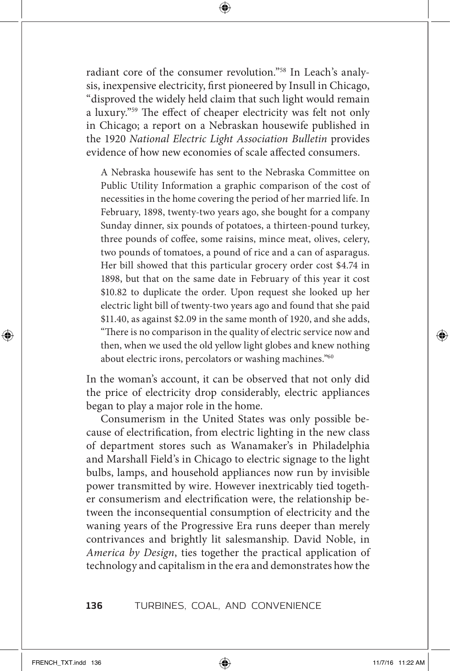radiant core of the consumer revolution."58 In Leach's analysis, inexpensive electricity, first pioneered by Insull in Chicago, "disproved the widely held claim that such light would remain a luxury."59 The effect of cheaper electricity was felt not only in Chicago; a report on a Nebraskan housewife published in the 1920 *National Electric Light Association Bulletin* provides evidence of how new economies of scale affected consumers.

⊕

A Nebraska housewife has sent to the Nebraska Committee on Public Utility Information a graphic comparison of the cost of necessities in the home covering the period of her married life. In February, 1898, twenty-two years ago, she bought for a company Sunday dinner, six pounds of potatoes, a thirteen-pound turkey, three pounds of coffee, some raisins, mince meat, olives, celery, two pounds of tomatoes, a pound of rice and a can of asparagus. Her bill showed that this particular grocery order cost \$4.74 in 1898, but that on the same date in February of this year it cost \$10.82 to duplicate the order. Upon request she looked up her electric light bill of twenty-two years ago and found that she paid \$11.40, as against \$2.09 in the same month of 1920, and she adds, "There is no comparison in the quality of electric service now and then, when we used the old yellow light globes and knew nothing about electric irons, percolators or washing machines."60

In the woman's account, it can be observed that not only did the price of electricity drop considerably, electric appliances began to play a major role in the home.

Consumerism in the United States was only possible because of electrification, from electric lighting in the new class of department stores such as Wanamaker's in Philadelphia and Marshall Field's in Chicago to electric signage to the light bulbs, lamps, and household appliances now run by invisible power transmitted by wire. However inextricably tied together consumerism and electrification were, the relationship between the inconsequential consumption of electricity and the waning years of the Progressive Era runs deeper than merely contrivances and brightly lit salesmanship. David Noble, in *America by Design*, ties together the practical application of technology and capitalism in the era and demonstrates how the

#### **136** TURBINES, COAL, AND CONVENIENCE

♠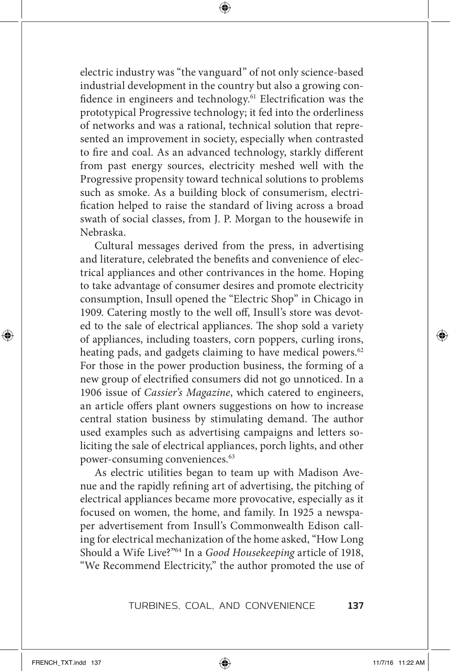electric industry was "the vanguard" of not only science-based industrial development in the country but also a growing confidence in engineers and technology.<sup>61</sup> Electrification was the prototypical Progressive technology; it fed into the orderliness of networks and was a rational, technical solution that represented an improvement in society, especially when contrasted to fire and coal. As an advanced technology, starkly different from past energy sources, electricity meshed well with the Progressive propensity toward technical solutions to problems such as smoke. As a building block of consumerism, electrification helped to raise the standard of living across a broad swath of social classes, from J. P. Morgan to the housewife in Nebraska.

⊕

Cultural messages derived from the press, in advertising and literature, celebrated the benefits and convenience of electrical appliances and other contrivances in the home. Hoping to take advantage of consumer desires and promote electricity consumption, Insull opened the "Electric Shop" in Chicago in 1909. Catering mostly to the well off, Insull's store was devoted to the sale of electrical appliances. The shop sold a variety of appliances, including toasters, corn poppers, curling irons, heating pads, and gadgets claiming to have medical powers.<sup>62</sup> For those in the power production business, the forming of a new group of electrified consumers did not go unnoticed. In a 1906 issue of *Cassier's Magazine*, which catered to engineers, an article offers plant owners suggestions on how to increase central station business by stimulating demand. The author used examples such as advertising campaigns and letters soliciting the sale of electrical appliances, porch lights, and other power-consuming conveniences.<sup>63</sup>

As electric utilities began to team up with Madison Avenue and the rapidly refining art of advertising, the pitching of electrical appliances became more provocative, especially as it focused on women, the home, and family. In 1925 a newspaper advertisement from Insull's Commonwealth Edison calling for electrical mechanization of the home asked, "How Long Should a Wife Live?"64 In a *Good Housekeeping* article of 1918, "We Recommend Electricity," the author promoted the use of

TURBINES, COAL, AND CONVENIENCE **137**

♠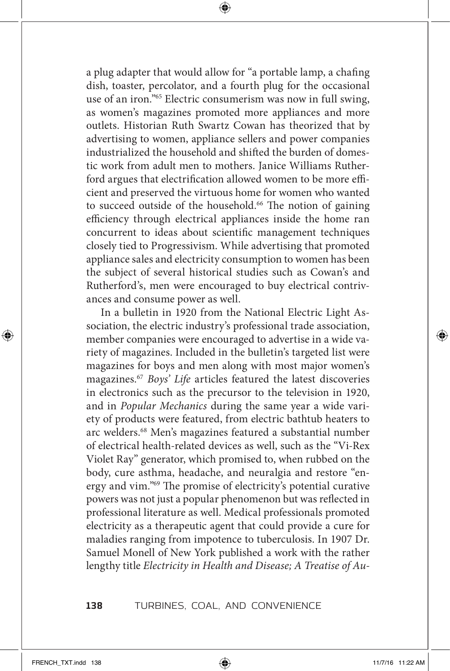a plug adapter that would allow for "a portable lamp, a chafing dish, toaster, percolator, and a fourth plug for the occasional use of an iron."65 Electric consumerism was now in full swing, as women's magazines promoted more appliances and more outlets. Historian Ruth Swartz Cowan has theorized that by advertising to women, appliance sellers and power companies industrialized the household and shifted the burden of domestic work from adult men to mothers. Janice Williams Rutherford argues that electrification allowed women to be more efficient and preserved the virtuous home for women who wanted to succeed outside of the household.<sup>66</sup> The notion of gaining efficiency through electrical appliances inside the home ran concurrent to ideas about scientific management techniques closely tied to Progressivism. While advertising that promoted appliance sales and electricity consumption to women has been the subject of several historical studies such as Cowan's and Rutherford's, men were encouraged to buy electrical contrivances and consume power as well.

⊕

In a bulletin in 1920 from the National Electric Light Association, the electric industry's professional trade association, member companies were encouraged to advertise in a wide variety of magazines. Included in the bulletin's targeted list were magazines for boys and men along with most major women's magazines.67 *Boys' Life* articles featured the latest discoveries in electronics such as the precursor to the television in 1920, and in *Popular Mechanics* during the same year a wide variety of products were featured, from electric bathtub heaters to arc welders.68 Men's magazines featured a substantial number of electrical health-related devices as well, such as the "Vi-Rex Violet Ray" generator, which promised to, when rubbed on the body, cure asthma, headache, and neuralgia and restore "energy and vim."69 The promise of electricity's potential curative powers was not just a popular phenomenon but was reflected in professional literature as well. Medical professionals promoted electricity as a therapeutic agent that could provide a cure for maladies ranging from impotence to tuberculosis. In 1907 Dr. Samuel Monell of New York published a work with the rather lengthy title *Electricity in Health and Disease; A Treatise of Au-*

## **138** TURBINES, COAL, AND CONVENIENCE

♠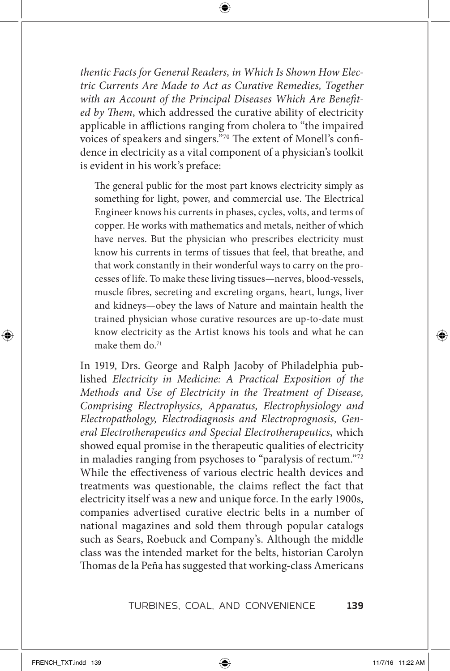*thentic Facts for General Readers, in Which Is Shown How Electric Currents Are Made to Act as Curative Remedies, Together with an Account of the Principal Diseases Which Are Benefited by Them*, which addressed the curative ability of electricity applicable in afflictions ranging from cholera to "the impaired voices of speakers and singers."70 The extent of Monell's confidence in electricity as a vital component of a physician's toolkit is evident in his work's preface:

⊕

The general public for the most part knows electricity simply as something for light, power, and commercial use. The Electrical Engineer knows his currents in phases, cycles, volts, and terms of copper. He works with mathematics and metals, neither of which have nerves. But the physician who prescribes electricity must know his currents in terms of tissues that feel, that breathe, and that work constantly in their wonderful ways to carry on the processes of life. To make these living tissues—nerves, blood-vessels, muscle fibres, secreting and excreting organs, heart, lungs, liver and kidneys—obey the laws of Nature and maintain health the trained physician whose curative resources are up-to-date must know electricity as the Artist knows his tools and what he can make them  $d\rho^{71}$ 

In 1919, Drs. George and Ralph Jacoby of Philadelphia published *Electricity in Medicine: A Practical Exposition of the Methods and Use of Electricity in the Treatment of Disease, Comprising Electrophysics, Apparatus, Electrophysiology and Electropathology, Electrodiagnosis and Electroprognosis, General Electrotherapeutics and Special Electrotherapeutics*, which showed equal promise in the therapeutic qualities of electricity in maladies ranging from psychoses to "paralysis of rectum."72 While the effectiveness of various electric health devices and treatments was questionable, the claims reflect the fact that electricity itself was a new and unique force. In the early 1900s, companies advertised curative electric belts in a number of national magazines and sold them through popular catalogs such as Sears, Roebuck and Company's. Although the middle class was the intended market for the belts, historian Carolyn Thomas de la Peña has suggested that working-class Americans

#### TURBINES, COAL, AND CONVENIENCE **139**

♠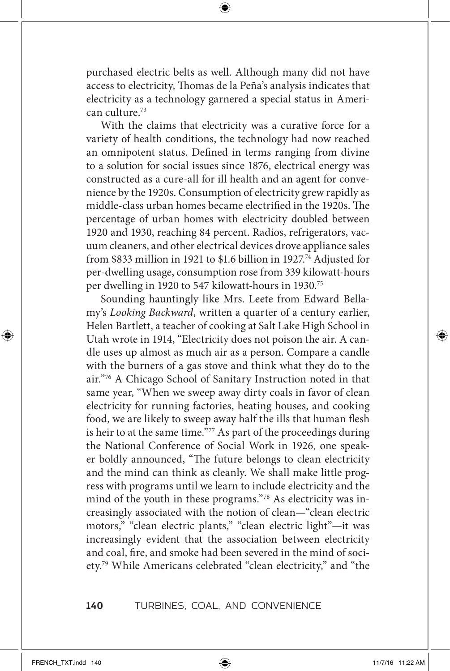purchased electric belts as well. Although many did not have access to electricity, Thomas de la Peña's analysis indicates that electricity as a technology garnered a special status in American culture.73

⊕

With the claims that electricity was a curative force for a variety of health conditions, the technology had now reached an omnipotent status. Defined in terms ranging from divine to a solution for social issues since 1876, electrical energy was constructed as a cure-all for ill health and an agent for convenience by the 1920s. Consumption of electricity grew rapidly as middle-class urban homes became electrified in the 1920s. The percentage of urban homes with electricity doubled between 1920 and 1930, reaching 84 percent. Radios, refrigerators, vacuum cleaners, and other electrical devices drove appliance sales from \$833 million in 1921 to \$1.6 billion in 1927.74 Adjusted for per-dwelling usage, consumption rose from 339 kilowatt-hours per dwelling in 1920 to 547 kilowatt-hours in 1930.75

Sounding hauntingly like Mrs. Leete from Edward Bellamy's *Looking Backward*, written a quarter of a century earlier, Helen Bartlett, a teacher of cooking at Salt Lake High School in Utah wrote in 1914, "Electricity does not poison the air. A candle uses up almost as much air as a person. Compare a candle with the burners of a gas stove and think what they do to the air."76 A Chicago School of Sanitary Instruction noted in that same year, "When we sweep away dirty coals in favor of clean electricity for running factories, heating houses, and cooking food, we are likely to sweep away half the ills that human flesh is heir to at the same time."77 As part of the proceedings during the National Conference of Social Work in 1926, one speaker boldly announced, "The future belongs to clean electricity and the mind can think as cleanly. We shall make little progress with programs until we learn to include electricity and the mind of the youth in these programs."78 As electricity was increasingly associated with the notion of clean—"clean electric motors," "clean electric plants," "clean electric light"—it was increasingly evident that the association between electricity and coal, fire, and smoke had been severed in the mind of society.79 While Americans celebrated "clean electricity," and "the

#### **140** TURBINES, COAL, AND CONVENIENCE

♠